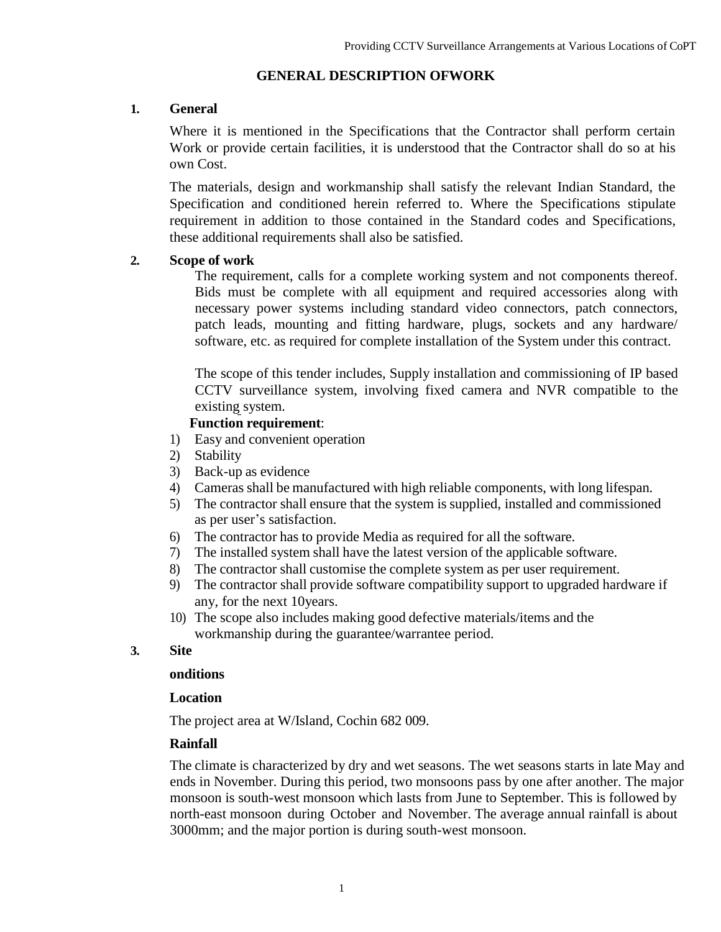### **GENERAL DESCRIPTION OFWORK**

### **1. General**

Where it is mentioned in the Specifications that the Contractor shall perform certain Work or provide certain facilities, it is understood that the Contractor shall do so at his own Cost.

The materials, design and workmanship shall satisfy the relevant Indian Standard, the Specification and conditioned herein referred to. Where the Specifications stipulate requirement in addition to those contained in the Standard codes and Specifications, these additional requirements shall also be satisfied.

### **2. Scope of work**

The requirement, calls for a complete working system and not components thereof. Bids must be complete with all equipment and required accessories along with necessary power systems including standard video connectors, patch connectors, patch leads, mounting and fitting hardware, plugs, sockets and any hardware/ software, etc. as required for complete installation of the System under this contract.

The scope of this tender includes, Supply installation and commissioning of IP based CCTV surveillance system, involving fixed camera and NVR compatible to the existing system.

#### **Function requirement**:

- 1) Easy and convenient operation
- 2) Stability
- 3) Back-up as evidence
- 4) Cameras shall be manufactured with high reliable components, with long lifespan.
- 5) The contractor shall ensure that the system is supplied, installed and commissioned as per user"s satisfaction.
- 6) The contractor has to provide Media as required for all the software.
- 7) The installed system shall have the latest version of the applicable software.
- 8) The contractor shall customise the complete system as per user requirement.
- 9) The contractor shall provide software compatibility support to upgraded hardware if any, for the next 10years.
- 10) The scope also includes making good defective materials/items and the workmanship during the guarantee/warrantee period.

### **3. Site**

#### **onditions**

#### **Location**

The project area at W/Island, Cochin 682 009.

### **Rainfall**

The climate is characterized by dry and wet seasons. The wet seasons starts in late May and ends in November. During this period, two monsoons pass by one after another. The major monsoon is south-west monsoon which lasts from June to September. This is followed by north-east monsoon during October and November. The average annual rainfall is about 3000mm; and the major portion is during south-west monsoon.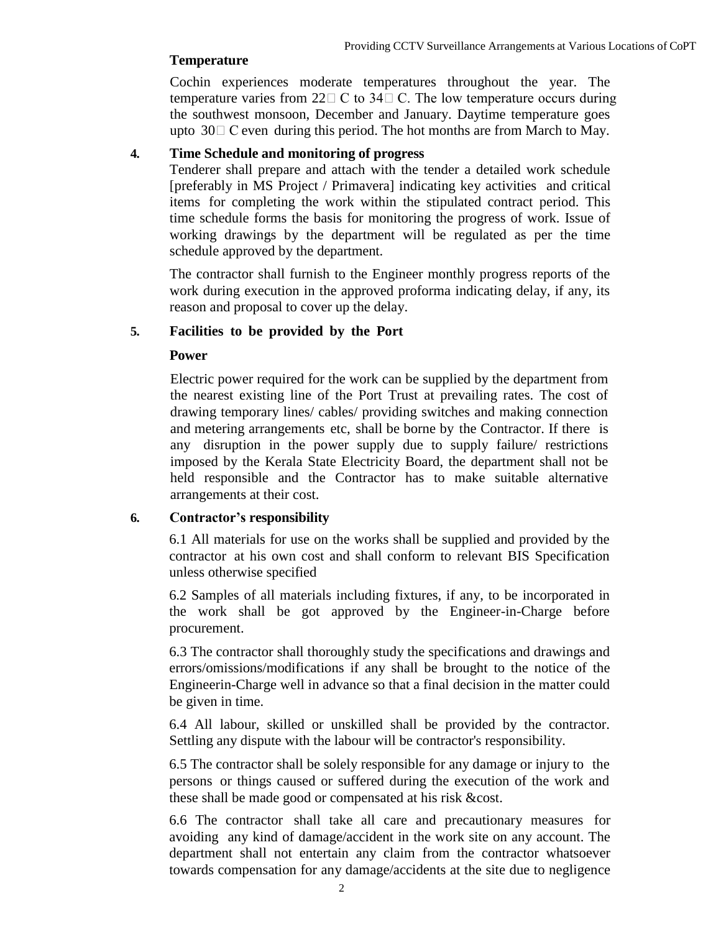#### **Temperature**

Cochin experiences moderate temperatures throughout the year. The temperature varies from  $22\square$  C to  $34\square$  C. The low temperature occurs during the southwest monsoon, December and January. Daytime temperature goes upto  $30\Box$  C even during this period. The hot months are from March to May.

### **4. Time Schedule and monitoring of progress**

Tenderer shall prepare and attach with the tender a detailed work schedule [preferably in MS Project / Primavera] indicating key activities and critical items for completing the work within the stipulated contract period. This time schedule forms the basis for monitoring the progress of work. Issue of working drawings by the department will be regulated as per the time schedule approved by the department.

The contractor shall furnish to the Engineer monthly progress reports of the work during execution in the approved proforma indicating delay, if any, its reason and proposal to cover up the delay.

### **5. Facilities to be provided by the Port**

#### **Power**

Electric power required for the work can be supplied by the department from the nearest existing line of the Port Trust at prevailing rates. The cost of drawing temporary lines/ cables/ providing switches and making connection and metering arrangements etc, shall be borne by the Contractor. If there is any disruption in the power supply due to supply failure/ restrictions imposed by the Kerala State Electricity Board, the department shall not be held responsible and the Contractor has to make suitable alternative arrangements at their cost.

### **6. Contractor's responsibility**

6.1 All materials for use on the works shall be supplied and provided by the contractor at his own cost and shall conform to relevant BIS Specification unless otherwise specified

6.2 Samples of all materials including fixtures, if any, to be incorporated in the work shall be got approved by the Engineer-in-Charge before procurement.

6.3 The contractor shall thoroughly study the specifications and drawings and errors/omissions/modifications if any shall be brought to the notice of the Engineerin-Charge well in advance so that a final decision in the matter could be given in time.

6.4 All labour, skilled or unskilled shall be provided by the contractor. Settling any dispute with the labour will be contractor's responsibility.

6.5 The contractor shall be solely responsible for any damage or injury to the persons or things caused or suffered during the execution of the work and these shall be made good or compensated at his risk &cost.

6.6 The contractor shall take all care and precautionary measures for avoiding any kind of damage/accident in the work site on any account. The department shall not entertain any claim from the contractor whatsoever towards compensation for any damage/accidents at the site due to negligence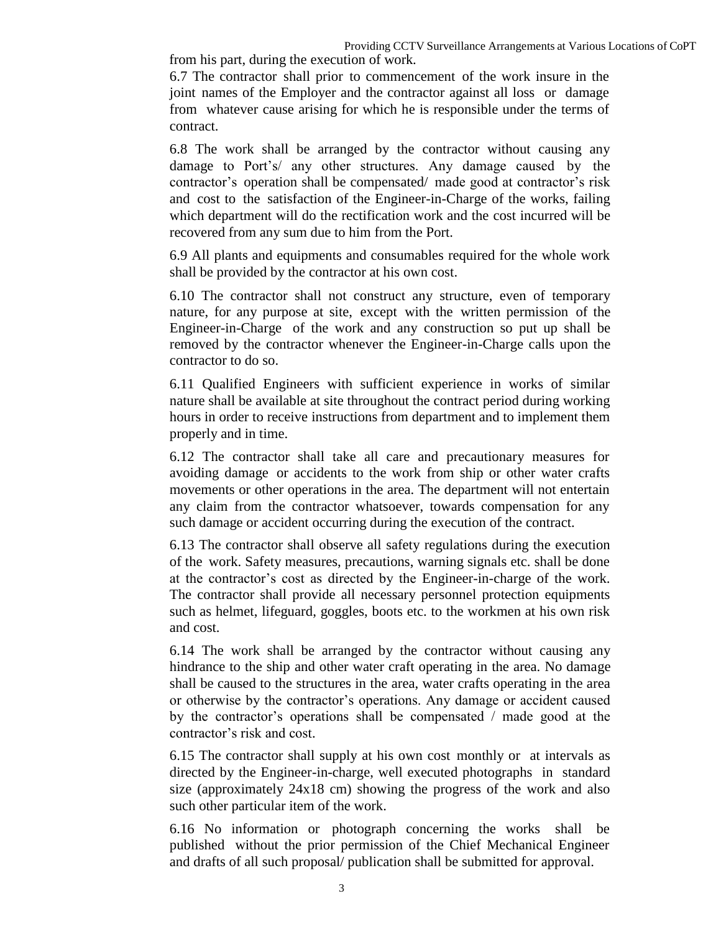6.7 The contractor shall prior to commencement of the work insure in the joint names of the Employer and the contractor against all loss or damage from whatever cause arising for which he is responsible under the terms of contract.

6.8 The work shall be arranged by the contractor without causing any damage to Port"s/ any other structures. Any damage caused by the contractor"s operation shall be compensated/ made good at contractor"s risk and cost to the satisfaction of the Engineer-in-Charge of the works, failing which department will do the rectification work and the cost incurred will be recovered from any sum due to him from the Port.

6.9 All plants and equipments and consumables required for the whole work shall be provided by the contractor at his own cost.

6.10 The contractor shall not construct any structure, even of temporary nature, for any purpose at site, except with the written permission of the Engineer-in-Charge of the work and any construction so put up shall be removed by the contractor whenever the Engineer-in-Charge calls upon the contractor to do so.

6.11 Qualified Engineers with sufficient experience in works of similar nature shall be available at site throughout the contract period during working hours in order to receive instructions from department and to implement them properly and in time.

6.12 The contractor shall take all care and precautionary measures for avoiding damage or accidents to the work from ship or other water crafts movements or other operations in the area. The department will not entertain any claim from the contractor whatsoever, towards compensation for any such damage or accident occurring during the execution of the contract.

6.13 The contractor shall observe all safety regulations during the execution of the work. Safety measures, precautions, warning signals etc. shall be done at the contractor"s cost as directed by the Engineer-in-charge of the work. The contractor shall provide all necessary personnel protection equipments such as helmet, lifeguard, goggles, boots etc. to the workmen at his own risk and cost.

6.14 The work shall be arranged by the contractor without causing any hindrance to the ship and other water craft operating in the area. No damage shall be caused to the structures in the area, water crafts operating in the area or otherwise by the contractor"s operations. Any damage or accident caused by the contractor"s operations shall be compensated / made good at the contractor"s risk and cost.

6.15 The contractor shall supply at his own cost monthly or at intervals as directed by the Engineer-in-charge, well executed photographs in standard size (approximately 24x18 cm) showing the progress of the work and also such other particular item of the work.

6.16 No information or photograph concerning the works shall be published without the prior permission of the Chief Mechanical Engineer and drafts of all such proposal/ publication shall be submitted for approval.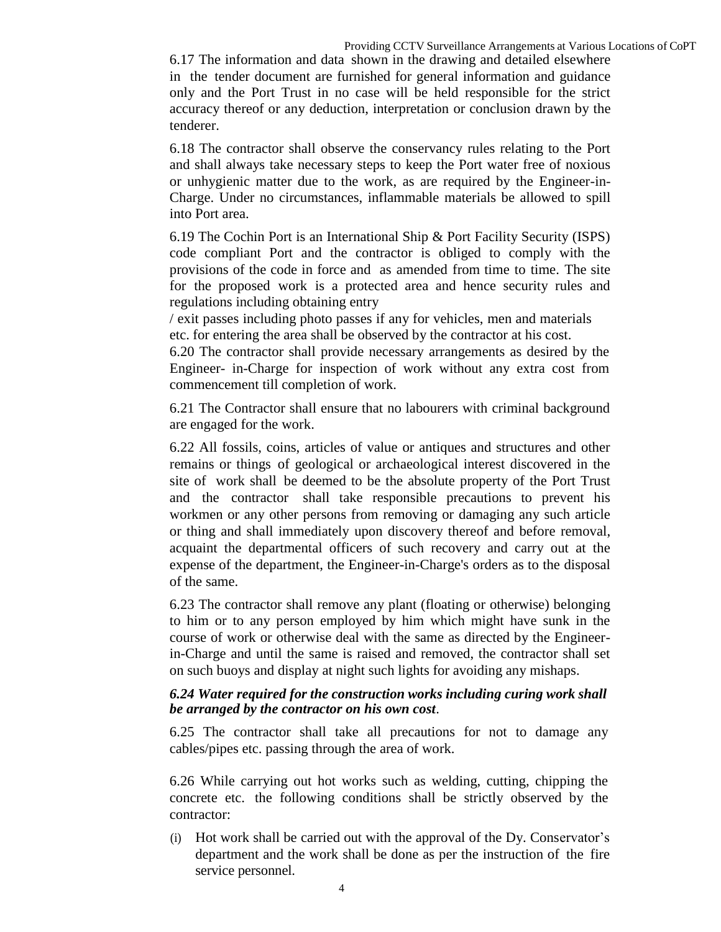6.17 The information and data shown in the drawing and detailed elsewhere in the tender document are furnished for general information and guidance only and the Port Trust in no case will be held responsible for the strict accuracy thereof or any deduction, interpretation or conclusion drawn by the tenderer.

6.18 The contractor shall observe the conservancy rules relating to the Port and shall always take necessary steps to keep the Port water free of noxious or unhygienic matter due to the work, as are required by the Engineer-in-Charge. Under no circumstances, inflammable materials be allowed to spill into Port area.

6.19 The Cochin Port is an International Ship & Port Facility Security (ISPS) code compliant Port and the contractor is obliged to comply with the provisions of the code in force and as amended from time to time. The site for the proposed work is a protected area and hence security rules and regulations including obtaining entry

/ exit passes including photo passes if any for vehicles, men and materials etc. for entering the area shall be observed by the contractor at his cost.

6.20 The contractor shall provide necessary arrangements as desired by the Engineer- in-Charge for inspection of work without any extra cost from commencement till completion of work.

6.21 The Contractor shall ensure that no labourers with criminal background are engaged for the work.

6.22 All fossils, coins, articles of value or antiques and structures and other remains or things of geological or archaeological interest discovered in the site of work shall be deemed to be the absolute property of the Port Trust and the contractor shall take responsible precautions to prevent his workmen or any other persons from removing or damaging any such article or thing and shall immediately upon discovery thereof and before removal, acquaint the departmental officers of such recovery and carry out at the expense of the department, the Engineer-in-Charge's orders as to the disposal of the same.

6.23 The contractor shall remove any plant (floating or otherwise) belonging to him or to any person employed by him which might have sunk in the course of work or otherwise deal with the same as directed by the Engineerin-Charge and until the same is raised and removed, the contractor shall set on such buoys and display at night such lights for avoiding any mishaps.

### *6.24 Water required for the construction works including curing work shall be arranged by the contractor on his own cost*.

6.25 The contractor shall take all precautions for not to damage any cables/pipes etc. passing through the area of work.

6.26 While carrying out hot works such as welding, cutting, chipping the concrete etc. the following conditions shall be strictly observed by the contractor:

(i) Hot work shall be carried out with the approval of the Dy. Conservator"s department and the work shall be done as per the instruction of the fire service personnel.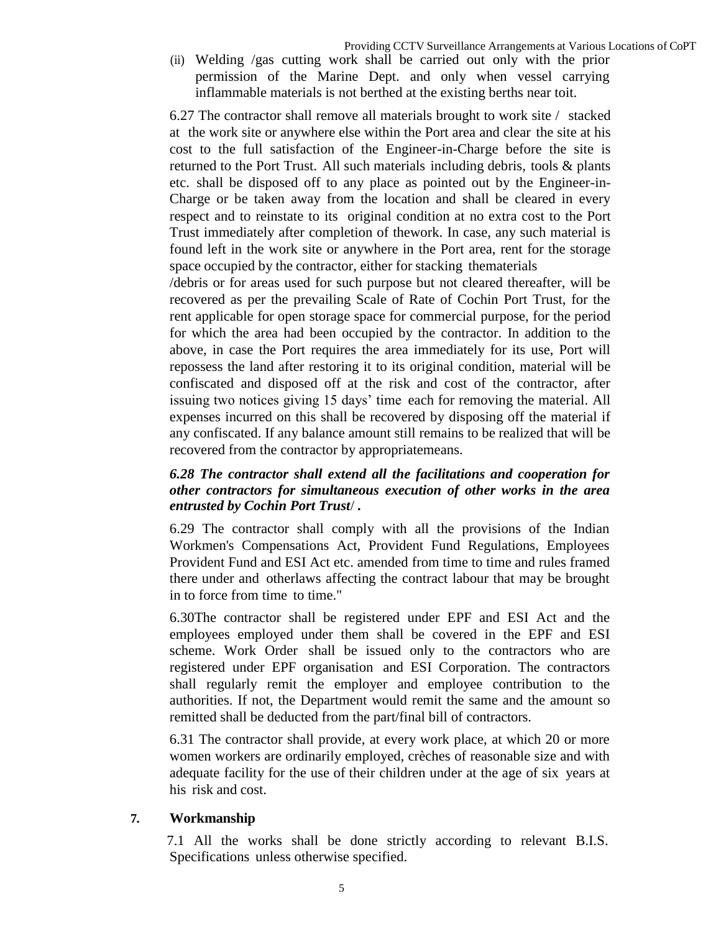(ii) Welding /gas cutting work shall be carried out only with the prior permission of the Marine Dept. and only when vessel carrying inflammable materials is not berthed at the existing berths near toit.

6.27 The contractor shall remove all materials brought to work site / stacked at the work site or anywhere else within the Port area and clear the site at his cost to the full satisfaction of the Engineer-in-Charge before the site is returned to the Port Trust. All such materials including debris, tools & plants etc. shall be disposed off to any place as pointed out by the Engineer-in-Charge or be taken away from the location and shall be cleared in every respect and to reinstate to its original condition at no extra cost to the Port Trust immediately after completion of thework. In case, any such material is found left in the work site or anywhere in the Port area, rent for the storage space occupied by the contractor, either for stacking thematerials

/debris or for areas used for such purpose but not cleared thereafter, will be recovered as per the prevailing Scale of Rate of Cochin Port Trust, for the rent applicable for open storage space for commercial purpose, for the period for which the area had been occupied by the contractor. In addition to the above, in case the Port requires the area immediately for its use, Port will repossess the land after restoring it to its original condition, material will be confiscated and disposed off at the risk and cost of the contractor, after issuing two notices giving 15 days" time each for removing the material. All expenses incurred on this shall be recovered by disposing off the material if any confiscated. If any balance amount still remains to be realized that will be recovered from the contractor by appropriatemeans.

### *6.28 The contractor shall extend all the facilitations and cooperation for other contractors for simultaneous execution of other works in the area entrusted by Cochin Port Trust*/ *.*

6.29 The contractor shall comply with all the provisions of the Indian Workmen's Compensations Act, Provident Fund Regulations, Employees Provident Fund and ESI Act etc. amended from time to time and rules framed there under and otherlaws affecting the contract labour that may be brought in to force from time to time."

6.30The contractor shall be registered under EPF and ESI Act and the employees employed under them shall be covered in the EPF and ESI scheme. Work Order shall be issued only to the contractors who are registered under EPF organisation and ESI Corporation. The contractors shall regularly remit the employer and employee contribution to the authorities. If not, the Department would remit the same and the amount so remitted shall be deducted from the part/final bill of contractors.

6.31 The contractor shall provide, at every work place, at which 20 or more women workers are ordinarily employed, crèches of reasonable size and with adequate facility for the use of their children under at the age of six years at his risk and cost.

### **7. Workmanship**

7.1 All the works shall be done strictly according to relevant B.I.S. Specifications unless otherwise specified.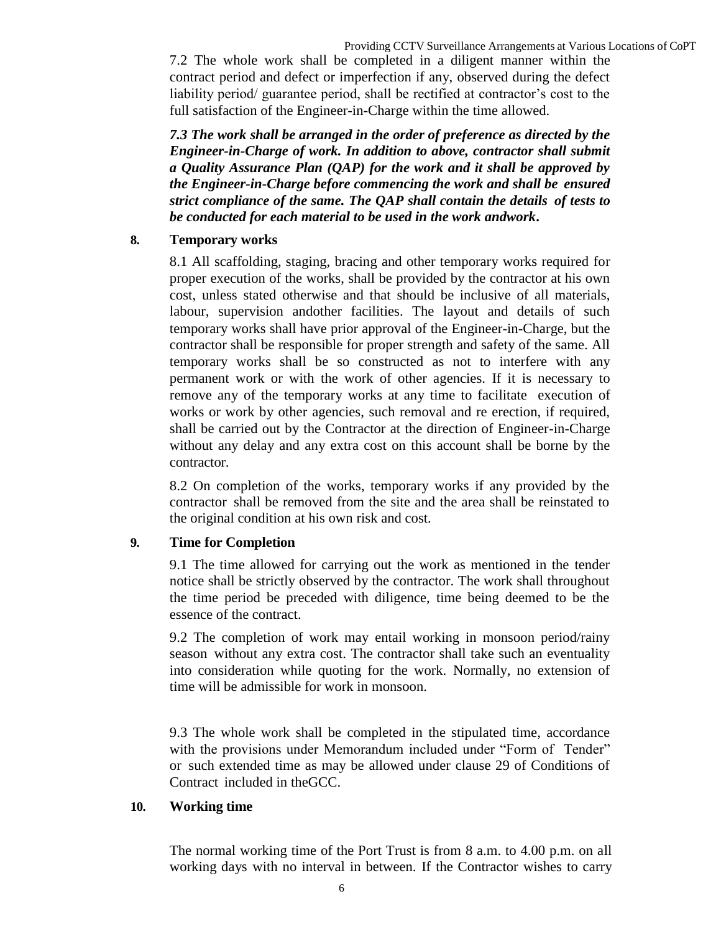7.2 The whole work shall be completed in a diligent manner within the contract period and defect or imperfection if any, observed during the defect liability period/ guarantee period, shall be rectified at contractor"s cost to the full satisfaction of the Engineer-in-Charge within the time allowed.

*7.3 The work shall be arranged in the order of preference as directed by the Engineer-in-Charge of work. In addition to above, contractor shall submit a Quality Assurance Plan (QAP) for the work and it shall be approved by the Engineer-in-Charge before commencing the work and shall be ensured strict compliance of the same. The QAP shall contain the details of tests to be conducted for each material to be used in the work andwork***.**

### **8. Temporary works**

8.1 All scaffolding, staging, bracing and other temporary works required for proper execution of the works, shall be provided by the contractor at his own cost, unless stated otherwise and that should be inclusive of all materials, labour, supervision andother facilities. The layout and details of such temporary works shall have prior approval of the Engineer-in-Charge, but the contractor shall be responsible for proper strength and safety of the same. All temporary works shall be so constructed as not to interfere with any permanent work or with the work of other agencies. If it is necessary to remove any of the temporary works at any time to facilitate execution of works or work by other agencies, such removal and re erection, if required, shall be carried out by the Contractor at the direction of Engineer-in-Charge without any delay and any extra cost on this account shall be borne by the contractor.

8.2 On completion of the works, temporary works if any provided by the contractor shall be removed from the site and the area shall be reinstated to the original condition at his own risk and cost.

### **9. Time for Completion**

9.1 The time allowed for carrying out the work as mentioned in the tender notice shall be strictly observed by the contractor. The work shall throughout the time period be preceded with diligence, time being deemed to be the essence of the contract.

9.2 The completion of work may entail working in monsoon period/rainy season without any extra cost. The contractor shall take such an eventuality into consideration while quoting for the work. Normally, no extension of time will be admissible for work in monsoon.

9.3 The whole work shall be completed in the stipulated time, accordance with the provisions under Memorandum included under "Form of Tender" or such extended time as may be allowed under clause 29 of Conditions of Contract included in theGCC.

### **10. Working time**

The normal working time of the Port Trust is from 8 a.m. to 4.00 p.m. on all working days with no interval in between. If the Contractor wishes to carry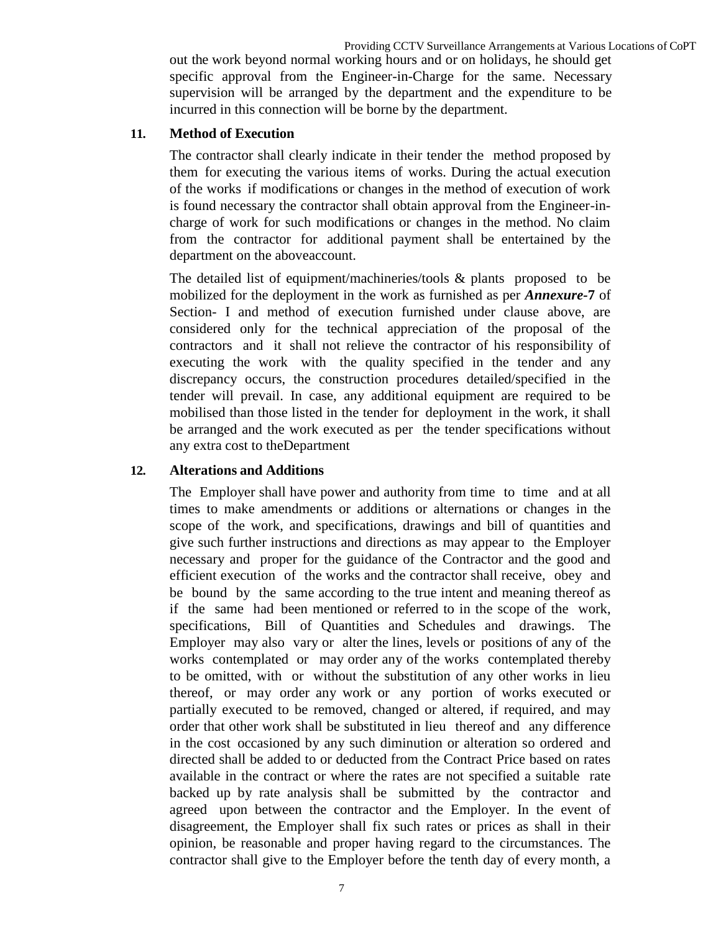Providing CCTV Surveillance Arrangements at Various Locations of CoPT out the work beyond normal working hours and or on holidays, he should get specific approval from the Engineer-in-Charge for the same. Necessary supervision will be arranged by the department and the expenditure to be incurred in this connection will be borne by the department.

### **11. Method of Execution**

The contractor shall clearly indicate in their tender the method proposed by them for executing the various items of works. During the actual execution of the works if modifications or changes in the method of execution of work is found necessary the contractor shall obtain approval from the Engineer-incharge of work for such modifications or changes in the method. No claim from the contractor for additional payment shall be entertained by the department on the aboveaccount.

The detailed list of equipment/machineries/tools & plants proposed to be mobilized for the deployment in the work as furnished as per *Annexure-***7** of Section- I and method of execution furnished under clause above, are considered only for the technical appreciation of the proposal of the contractors and it shall not relieve the contractor of his responsibility of executing the work with the quality specified in the tender and any discrepancy occurs, the construction procedures detailed/specified in the tender will prevail. In case, any additional equipment are required to be mobilised than those listed in the tender for deployment in the work, it shall be arranged and the work executed as per the tender specifications without any extra cost to theDepartment

### **12. Alterations and Additions**

The Employer shall have power and authority from time to time and at all times to make amendments or additions or alternations or changes in the scope of the work, and specifications, drawings and bill of quantities and give such further instructions and directions as may appear to the Employer necessary and proper for the guidance of the Contractor and the good and efficient execution of the works and the contractor shall receive, obey and be bound by the same according to the true intent and meaning thereof as if the same had been mentioned or referred to in the scope of the work, specifications, Bill of Quantities and Schedules and drawings. The Employer may also vary or alter the lines, levels or positions of any of the works contemplated or may order any of the works contemplated thereby to be omitted, with or without the substitution of any other works in lieu thereof, or may order any work or any portion of works executed or partially executed to be removed, changed or altered, if required, and may order that other work shall be substituted in lieu thereof and any difference in the cost occasioned by any such diminution or alteration so ordered and directed shall be added to or deducted from the Contract Price based on rates available in the contract or where the rates are not specified a suitable rate backed up by rate analysis shall be submitted by the contractor and agreed upon between the contractor and the Employer. In the event of disagreement, the Employer shall fix such rates or prices as shall in their opinion, be reasonable and proper having regard to the circumstances. The contractor shall give to the Employer before the tenth day of every month, a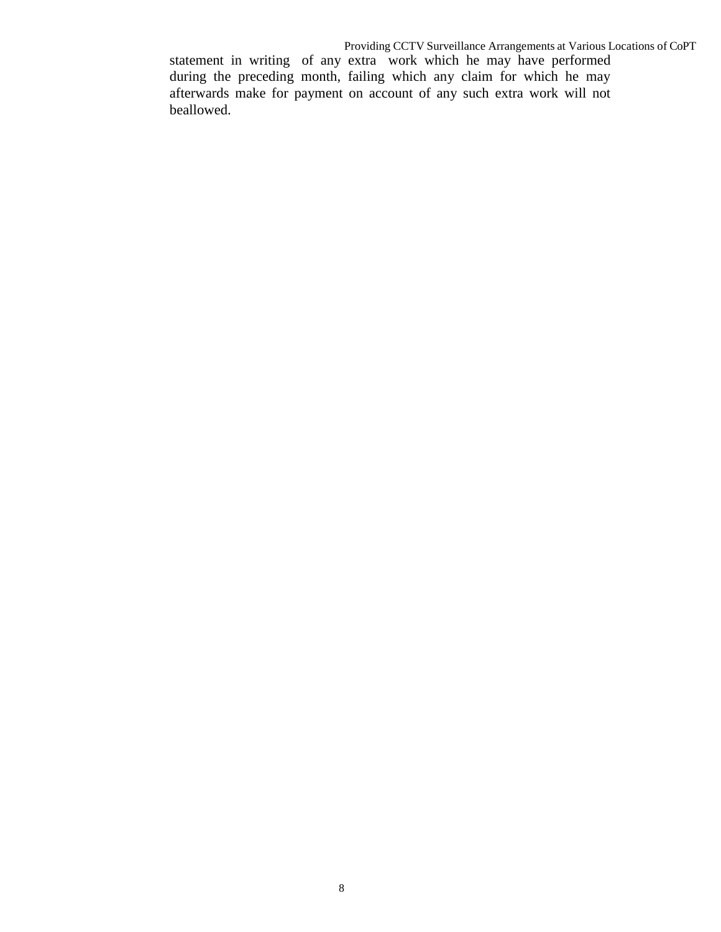statement in writing of any extra work which he may have performed during the preceding month, failing which any claim for which he may afterwards make for payment on account of any such extra work will not beallowed.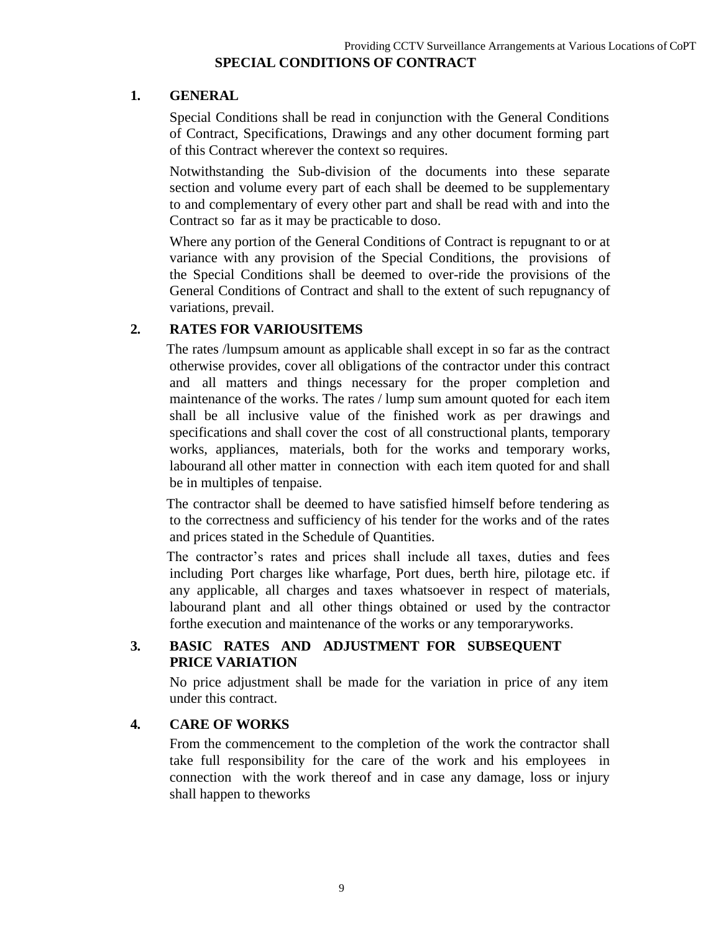# **SPECIAL CONDITIONS OF CONTRACT**

### **1. GENERAL**

Special Conditions shall be read in conjunction with the General Conditions of Contract, Specifications, Drawings and any other document forming part of this Contract wherever the context so requires.

Notwithstanding the Sub-division of the documents into these separate section and volume every part of each shall be deemed to be supplementary to and complementary of every other part and shall be read with and into the Contract so far as it may be practicable to doso.

Where any portion of the General Conditions of Contract is repugnant to or at variance with any provision of the Special Conditions, the provisions of the Special Conditions shall be deemed to over-ride the provisions of the General Conditions of Contract and shall to the extent of such repugnancy of variations, prevail.

### **2. RATES FOR VARIOUSITEMS**

The rates /lumpsum amount as applicable shall except in so far as the contract otherwise provides, cover all obligations of the contractor under this contract and all matters and things necessary for the proper completion and maintenance of the works. The rates / lump sum amount quoted for each item shall be all inclusive value of the finished work as per drawings and specifications and shall cover the cost of all constructional plants, temporary works, appliances, materials, both for the works and temporary works, labourand all other matter in connection with each item quoted for and shall be in multiples of tenpaise.

The contractor shall be deemed to have satisfied himself before tendering as to the correctness and sufficiency of his tender for the works and of the rates and prices stated in the Schedule of Quantities.

The contractor's rates and prices shall include all taxes, duties and fees including Port charges like wharfage, Port dues, berth hire, pilotage etc. if any applicable, all charges and taxes whatsoever in respect of materials, labourand plant and all other things obtained or used by the contractor forthe execution and maintenance of the works or any temporaryworks.

### **3. BASIC RATES AND ADJUSTMENT FOR SUBSEQUENT PRICE VARIATION**

No price adjustment shall be made for the variation in price of any item under this contract.

### **4. CARE OF WORKS**

From the commencement to the completion of the work the contractor shall take full responsibility for the care of the work and his employees in connection with the work thereof and in case any damage, loss or injury shall happen to theworks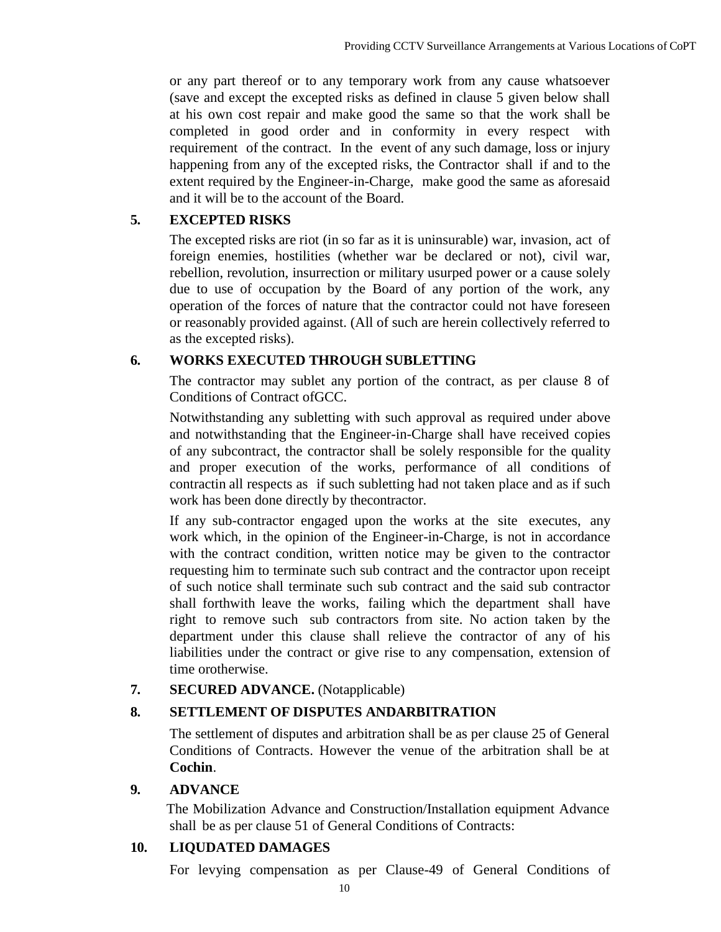or any part thereof or to any temporary work from any cause whatsoever (save and except the excepted risks as defined in clause 5 given below shall at his own cost repair and make good the same so that the work shall be completed in good order and in conformity in every respect with requirement of the contract. In the event of any such damage, loss or injury happening from any of the excepted risks, the Contractor shall if and to the extent required by the Engineer-in-Charge, make good the same as aforesaid and it will be to the account of the Board.

### **5. EXCEPTED RISKS**

The excepted risks are riot (in so far as it is uninsurable) war, invasion, act of foreign enemies, hostilities (whether war be declared or not), civil war, rebellion, revolution, insurrection or military usurped power or a cause solely due to use of occupation by the Board of any portion of the work, any operation of the forces of nature that the contractor could not have foreseen or reasonably provided against. (All of such are herein collectively referred to as the excepted risks).

### **6. WORKS EXECUTED THROUGH SUBLETTING**

The contractor may sublet any portion of the contract, as per clause 8 of Conditions of Contract ofGCC.

Notwithstanding any subletting with such approval as required under above and notwithstanding that the Engineer-in-Charge shall have received copies of any subcontract, the contractor shall be solely responsible for the quality and proper execution of the works, performance of all conditions of contractin all respects as if such subletting had not taken place and as if such work has been done directly by thecontractor.

If any sub-contractor engaged upon the works at the site executes, any work which, in the opinion of the Engineer-in-Charge, is not in accordance with the contract condition, written notice may be given to the contractor requesting him to terminate such sub contract and the contractor upon receipt of such notice shall terminate such sub contract and the said sub contractor shall forthwith leave the works, failing which the department shall have right to remove such sub contractors from site. No action taken by the department under this clause shall relieve the contractor of any of his liabilities under the contract or give rise to any compensation, extension of time orotherwise.

### **7. SECURED ADVANCE.** (Notapplicable)

### **8. SETTLEMENT OF DISPUTES ANDARBITRATION**

The settlement of disputes and arbitration shall be as per clause 25 of General Conditions of Contracts. However the venue of the arbitration shall be at **Cochin**.

### **9. ADVANCE**

The Mobilization Advance and Construction/Installation equipment Advance shall be as per clause 51 of General Conditions of Contracts:

### **10. LIQUDATED DAMAGES**

For levying compensation as per Clause-49 of General Conditions of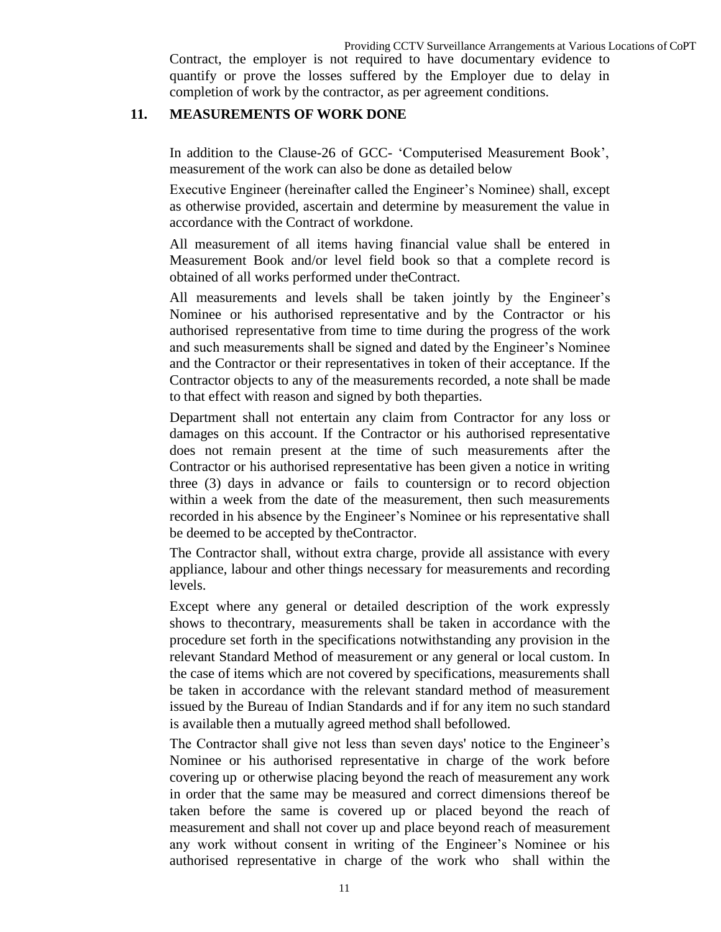Contract, the employer is not required to have documentary evidence to quantify or prove the losses suffered by the Employer due to delay in completion of work by the contractor, as per agreement conditions.

#### **11. MEASUREMENTS OF WORK DONE**

In addition to the Clause-26 of GCC- "Computerised Measurement Book", measurement of the work can also be done as detailed below

Executive Engineer (hereinafter called the Engineer"s Nominee) shall, except as otherwise provided, ascertain and determine by measurement the value in accordance with the Contract of workdone.

All measurement of all items having financial value shall be entered in Measurement Book and/or level field book so that a complete record is obtained of all works performed under theContract.

All measurements and levels shall be taken jointly by the Engineer"s Nominee or his authorised representative and by the Contractor or his authorised representative from time to time during the progress of the work and such measurements shall be signed and dated by the Engineer"s Nominee and the Contractor or their representatives in token of their acceptance. If the Contractor objects to any of the measurements recorded, a note shall be made to that effect with reason and signed by both theparties.

Department shall not entertain any claim from Contractor for any loss or damages on this account. If the Contractor or his authorised representative does not remain present at the time of such measurements after the Contractor or his authorised representative has been given a notice in writing three (3) days in advance or fails to countersign or to record objection within a week from the date of the measurement, then such measurements recorded in his absence by the Engineer"s Nominee or his representative shall be deemed to be accepted by theContractor.

The Contractor shall, without extra charge, provide all assistance with every appliance, labour and other things necessary for measurements and recording levels.

Except where any general or detailed description of the work expressly shows to thecontrary, measurements shall be taken in accordance with the procedure set forth in the specifications notwithstanding any provision in the relevant Standard Method of measurement or any general or local custom. In the case of items which are not covered by specifications, measurements shall be taken in accordance with the relevant standard method of measurement issued by the Bureau of Indian Standards and if for any item no such standard is available then a mutually agreed method shall befollowed.

The Contractor shall give not less than seven days' notice to the Engineer's Nominee or his authorised representative in charge of the work before covering up or otherwise placing beyond the reach of measurement any work in order that the same may be measured and correct dimensions thereof be taken before the same is covered up or placed beyond the reach of measurement and shall not cover up and place beyond reach of measurement any work without consent in writing of the Engineer"s Nominee or his authorised representative in charge of the work who shall within the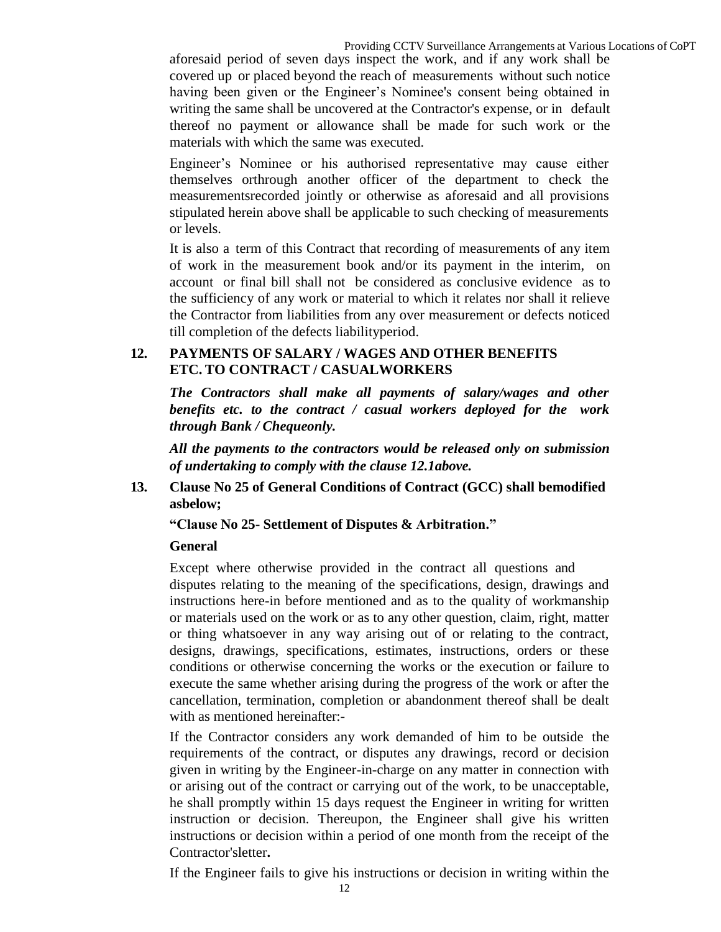aforesaid period of seven days inspect the work, and if any work shall be covered up or placed beyond the reach of measurements without such notice having been given or the Engineer"s Nominee's consent being obtained in writing the same shall be uncovered at the Contractor's expense, or in default thereof no payment or allowance shall be made for such work or the materials with which the same was executed.

Engineer"s Nominee or his authorised representative may cause either themselves orthrough another officer of the department to check the measurementsrecorded jointly or otherwise as aforesaid and all provisions stipulated herein above shall be applicable to such checking of measurements or levels.

It is also a term of this Contract that recording of measurements of any item of work in the measurement book and/or its payment in the interim, on account or final bill shall not be considered as conclusive evidence as to the sufficiency of any work or material to which it relates nor shall it relieve the Contractor from liabilities from any over measurement or defects noticed till completion of the defects liabilityperiod.

### **12. PAYMENTS OF SALARY / WAGES AND OTHER BENEFITS ETC. TO CONTRACT / CASUALWORKERS**

*The Contractors shall make all payments of salary/wages and other benefits etc. to the contract / casual workers deployed for the work through Bank / Chequeonly.*

*All the payments to the contractors would be released only on submission of undertaking to comply with the clause 12.1above.*

**13. Clause No 25 of General Conditions of Contract (GCC) shall bemodified asbelow;**

**"Clause No 25- Settlement of Disputes & Arbitration."** 

### **General**

Except where otherwise provided in the contract all questions and disputes relating to the meaning of the specifications, design, drawings and instructions here-in before mentioned and as to the quality of workmanship or materials used on the work or as to any other question, claim, right, matter or thing whatsoever in any way arising out of or relating to the contract, designs, drawings, specifications, estimates, instructions, orders or these conditions or otherwise concerning the works or the execution or failure to execute the same whether arising during the progress of the work or after the cancellation, termination, completion or abandonment thereof shall be dealt with as mentioned hereinafter:-

If the Contractor considers any work demanded of him to be outside the requirements of the contract, or disputes any drawings, record or decision given in writing by the Engineer-in-charge on any matter in connection with or arising out of the contract or carrying out of the work, to be unacceptable, he shall promptly within 15 days request the Engineer in writing for written instruction or decision. Thereupon, the Engineer shall give his written instructions or decision within a period of one month from the receipt of the Contractor'sletter**.**

If the Engineer fails to give his instructions or decision in writing within the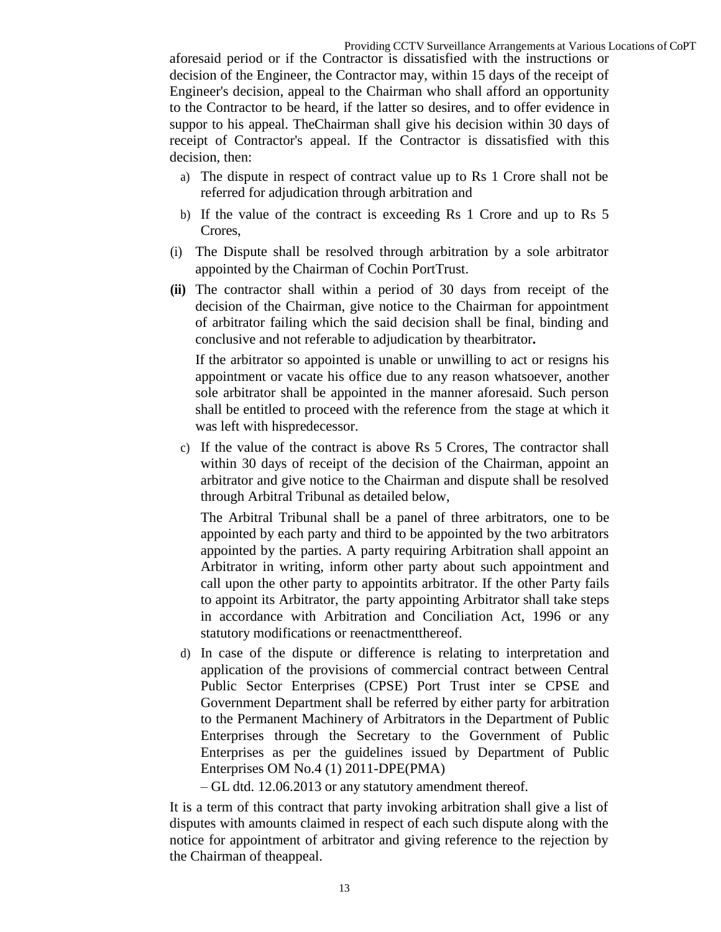aforesaid period or if the Contractor is dissatisfied with the instructions or decision of the Engineer, the Contractor may, within 15 days of the receipt of Engineer's decision, appeal to the Chairman who shall afford an opportunity to the Contractor to be heard, if the latter so desires, and to offer evidence in suppor to his appeal. TheChairman shall give his decision within 30 days of receipt of Contractor's appeal. If the Contractor is dissatisfied with this decision, then:

- a) The dispute in respect of contract value up to Rs 1 Crore shall not be referred for adjudication through arbitration and
- b) If the value of the contract is exceeding Rs 1 Crore and up to Rs 5 Crores,
- (i) The Dispute shall be resolved through arbitration by a sole arbitrator appointed by the Chairman of Cochin PortTrust.
- **(ii)** The contractor shall within a period of 30 days from receipt of the decision of the Chairman, give notice to the Chairman for appointment of arbitrator failing which the said decision shall be final, binding and conclusive and not referable to adjudication by thearbitrator**.**

If the arbitrator so appointed is unable or unwilling to act or resigns his appointment or vacate his office due to any reason whatsoever, another sole arbitrator shall be appointed in the manner aforesaid. Such person shall be entitled to proceed with the reference from the stage at which it was left with hispredecessor.

c) If the value of the contract is above Rs 5 Crores, The contractor shall within 30 days of receipt of the decision of the Chairman, appoint an arbitrator and give notice to the Chairman and dispute shall be resolved through Arbitral Tribunal as detailed below,

The Arbitral Tribunal shall be a panel of three arbitrators, one to be appointed by each party and third to be appointed by the two arbitrators appointed by the parties. A party requiring Arbitration shall appoint an Arbitrator in writing, inform other party about such appointment and call upon the other party to appointits arbitrator. If the other Party fails to appoint its Arbitrator, the party appointing Arbitrator shall take steps in accordance with Arbitration and Conciliation Act, 1996 or any statutory modifications or reenactmentthereof.

- d) In case of the dispute or difference is relating to interpretation and application of the provisions of commercial contract between Central Public Sector Enterprises (CPSE) Port Trust inter se CPSE and Government Department shall be referred by either party for arbitration to the Permanent Machinery of Arbitrators in the Department of Public Enterprises through the Secretary to the Government of Public Enterprises as per the guidelines issued by Department of Public Enterprises OM No.4 (1) 2011-DPE(PMA)
	- GL dtd. 12.06.2013 or any statutory amendment thereof.

It is a term of this contract that party invoking arbitration shall give a list of disputes with amounts claimed in respect of each such dispute along with the notice for appointment of arbitrator and giving reference to the rejection by the Chairman of theappeal.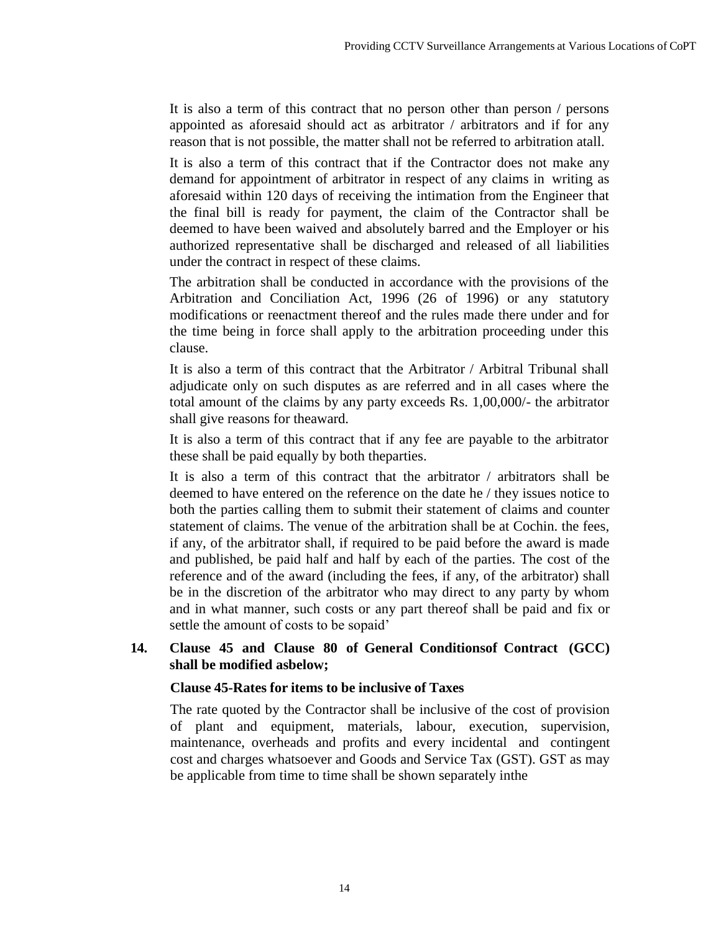It is also a term of this contract that no person other than person / persons appointed as aforesaid should act as arbitrator / arbitrators and if for any reason that is not possible, the matter shall not be referred to arbitration atall.

It is also a term of this contract that if the Contractor does not make any demand for appointment of arbitrator in respect of any claims in writing as aforesaid within 120 days of receiving the intimation from the Engineer that the final bill is ready for payment, the claim of the Contractor shall be deemed to have been waived and absolutely barred and the Employer or his authorized representative shall be discharged and released of all liabilities under the contract in respect of these claims.

The arbitration shall be conducted in accordance with the provisions of the Arbitration and Conciliation Act, 1996 (26 of 1996) or any statutory modifications or reenactment thereof and the rules made there under and for the time being in force shall apply to the arbitration proceeding under this clause.

It is also a term of this contract that the Arbitrator / Arbitral Tribunal shall adjudicate only on such disputes as are referred and in all cases where the total amount of the claims by any party exceeds Rs. 1,00,000/- the arbitrator shall give reasons for theaward.

It is also a term of this contract that if any fee are payable to the arbitrator these shall be paid equally by both theparties.

It is also a term of this contract that the arbitrator / arbitrators shall be deemed to have entered on the reference on the date he / they issues notice to both the parties calling them to submit their statement of claims and counter statement of claims. The venue of the arbitration shall be at Cochin. the fees, if any, of the arbitrator shall, if required to be paid before the award is made and published, be paid half and half by each of the parties. The cost of the reference and of the award (including the fees, if any, of the arbitrator) shall be in the discretion of the arbitrator who may direct to any party by whom and in what manner, such costs or any part thereof shall be paid and fix or settle the amount of costs to be sopaid'

### **14. Clause 45 and Clause 80 of General Conditionsof Contract (GCC) shall be modified asbelow;**

### **Clause 45-Rates for items to be inclusive of Taxes**

The rate quoted by the Contractor shall be inclusive of the cost of provision of plant and equipment, materials, labour, execution, supervision, maintenance, overheads and profits and every incidental and contingent cost and charges whatsoever and Goods and Service Tax (GST). GST as may be applicable from time to time shall be shown separately inthe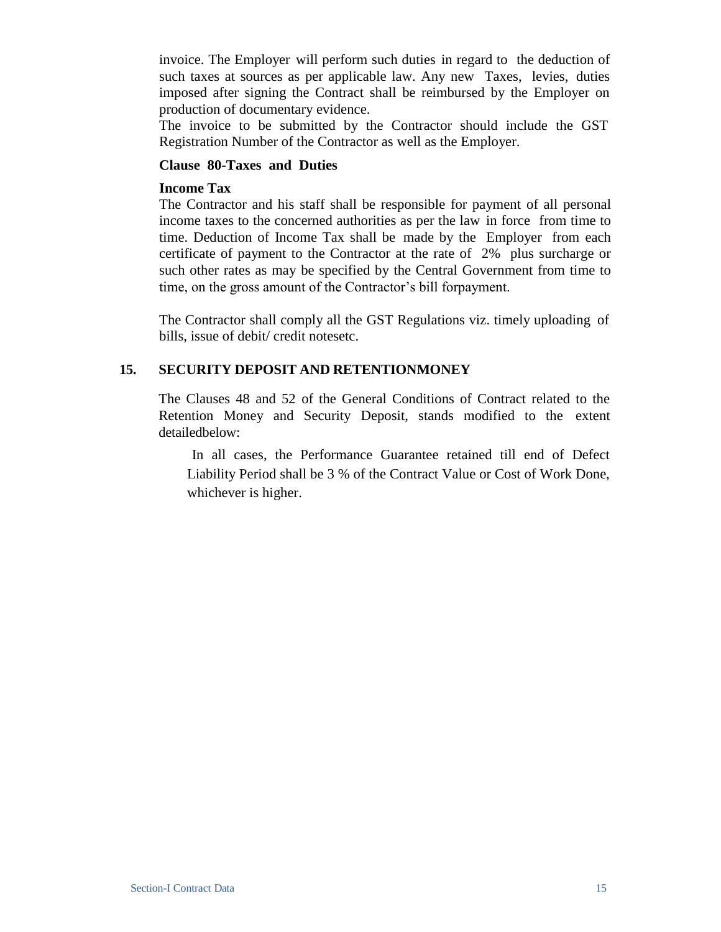invoice. The Employer will perform such duties in regard to the deduction of such taxes at sources as per applicable law. Any new Taxes, levies, duties imposed after signing the Contract shall be reimbursed by the Employer on production of documentary evidence.

The invoice to be submitted by the Contractor should include the GST Registration Number of the Contractor as well as the Employer.

#### **Clause 80-Taxes and Duties**

#### **Income Tax**

The Contractor and his staff shall be responsible for payment of all personal income taxes to the concerned authorities as per the law in force from time to time. Deduction of Income Tax shall be made by the Employer from each certificate of payment to the Contractor at the rate of 2% plus surcharge or such other rates as may be specified by the Central Government from time to time, on the gross amount of the Contractor's bill forpayment.

The Contractor shall comply all the GST Regulations viz. timely uploading of bills, issue of debit/ credit notesetc.

### **15. SECURITY DEPOSIT AND RETENTIONMONEY**

The Clauses 48 and 52 of the General Conditions of Contract related to the Retention Money and Security Deposit, stands modified to the extent detailedbelow:

In all cases, the Performance Guarantee retained till end of Defect Liability Period shall be 3 % of the Contract Value or Cost of Work Done, whichever is higher.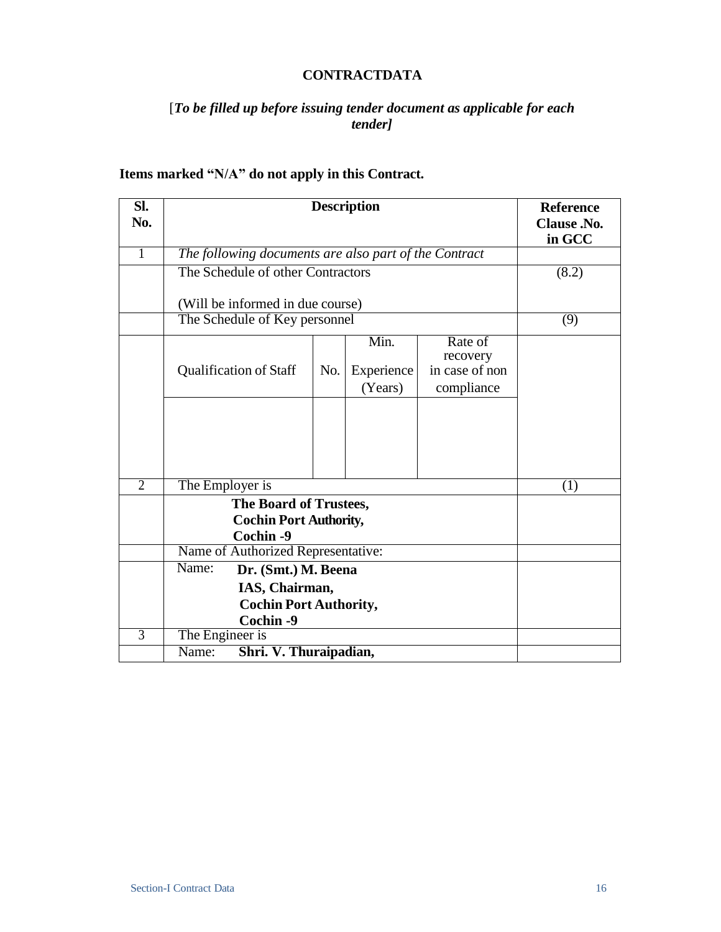#### **CONTRACTDATA**

### [*To be filled up before issuing tender document as applicable for each tender]*

## **Items marked "N/A" do not apply in this Contract.**

| SI.<br>No.     | <b>Description</b>            |                                                         |     |                       |                              | <b>Reference</b><br>Clause .No.<br>in GCC |
|----------------|-------------------------------|---------------------------------------------------------|-----|-----------------------|------------------------------|-------------------------------------------|
| $\overline{1}$ |                               | The following documents are also part of the Contract   |     |                       |                              |                                           |
|                |                               | The Schedule of other Contractors                       |     |                       |                              | (8.2)                                     |
|                |                               | (Will be informed in due course)                        |     |                       |                              |                                           |
|                |                               | The Schedule of Key personnel                           |     |                       |                              | (9)                                       |
|                |                               |                                                         |     | Min.                  | Rate of<br>recovery          |                                           |
|                |                               | <b>Qualification of Staff</b>                           | No. | Experience<br>(Years) | in case of non<br>compliance |                                           |
|                |                               |                                                         |     |                       |                              |                                           |
|                |                               |                                                         |     |                       |                              |                                           |
| $\overline{2}$ | The Employer is               |                                                         |     |                       |                              | (1)                                       |
|                |                               |                                                         |     |                       |                              |                                           |
|                |                               | The Board of Trustees,<br><b>Cochin Port Authority,</b> |     |                       |                              |                                           |
|                |                               | Cochin -9                                               |     |                       |                              |                                           |
|                |                               | Name of Authorized Representative:                      |     |                       |                              |                                           |
|                | Name:                         | Dr. (Smt.) M. Beena                                     |     |                       |                              |                                           |
|                | IAS, Chairman,                |                                                         |     |                       |                              |                                           |
|                | <b>Cochin Port Authority,</b> |                                                         |     |                       |                              |                                           |
|                |                               | Cochin -9                                               |     |                       |                              |                                           |
| $\overline{3}$ | The Engineer is               |                                                         |     |                       |                              |                                           |
|                | Name:                         | Shri. V. Thuraipadian,                                  |     |                       |                              |                                           |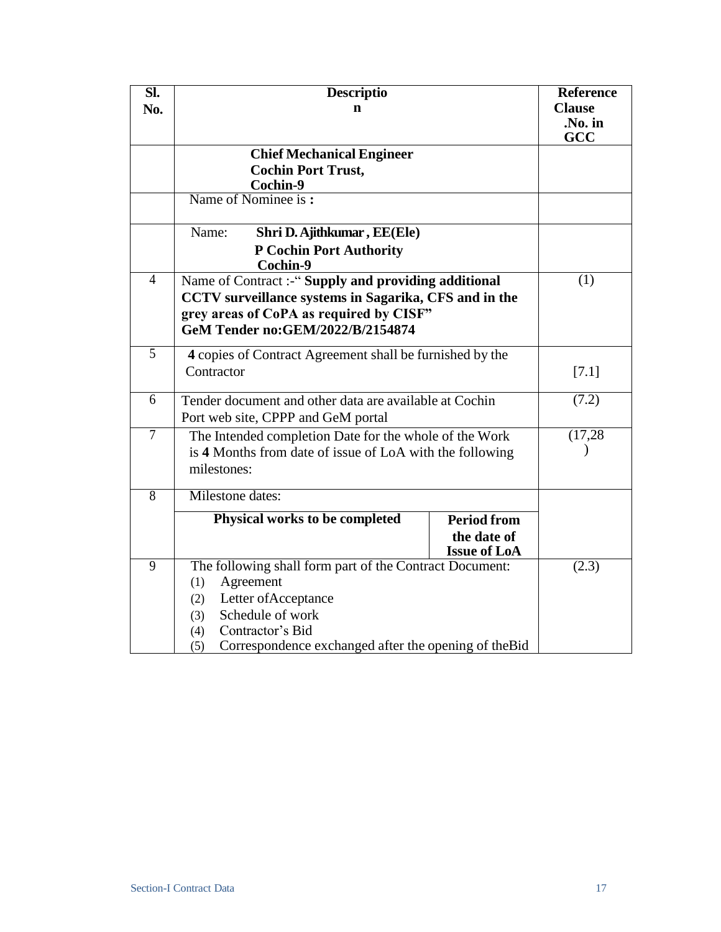| $\overline{\text{SL}}$<br>No. | <b>Descriptio</b><br>n                                                                                                                                                                                                           |                                                          | <b>Reference</b><br><b>Clause</b><br>.No. in<br>GCC |
|-------------------------------|----------------------------------------------------------------------------------------------------------------------------------------------------------------------------------------------------------------------------------|----------------------------------------------------------|-----------------------------------------------------|
|                               | <b>Chief Mechanical Engineer</b><br><b>Cochin Port Trust,</b><br>Cochin-9                                                                                                                                                        |                                                          |                                                     |
|                               | Name of Nominee is:                                                                                                                                                                                                              |                                                          |                                                     |
|                               | Name:<br>Shri D. Ajithkumar, EE(Ele)<br><b>P Cochin Port Authority</b><br>Cochin-9                                                                                                                                               |                                                          |                                                     |
| $\overline{4}$                | Name of Contract:-"Supply and providing additional<br>CCTV surveillance systems in Sagarika, CFS and in the<br>grey areas of CoPA as required by CISF"<br>GeM Tender no: GEM/2022/B/2154874                                      |                                                          | (1)                                                 |
| 5                             | 4 copies of Contract Agreement shall be furnished by the<br>Contractor                                                                                                                                                           |                                                          | [7.1]                                               |
| $\overline{6}$                | Tender document and other data are available at Cochin<br>Port web site, CPPP and GeM portal                                                                                                                                     |                                                          | (7.2)                                               |
| $\overline{7}$                | The Intended completion Date for the whole of the Work<br>is 4 Months from date of issue of LoA with the following<br>milestones:                                                                                                |                                                          | (17, 28)                                            |
| $\overline{8}$                | <b>Milestone</b> dates:                                                                                                                                                                                                          |                                                          |                                                     |
|                               | Physical works to be completed                                                                                                                                                                                                   | <b>Period from</b><br>the date of<br><b>Issue of LoA</b> |                                                     |
| $\overline{9}$                | The following shall form part of the Contract Document:<br>Agreement<br>(1)<br>Letter of Acceptance<br>(2)<br>Schedule of work<br>(3)<br>Contractor's Bid<br>(4)<br>Correspondence exchanged after the opening of the Bid<br>(5) |                                                          | (2.3)                                               |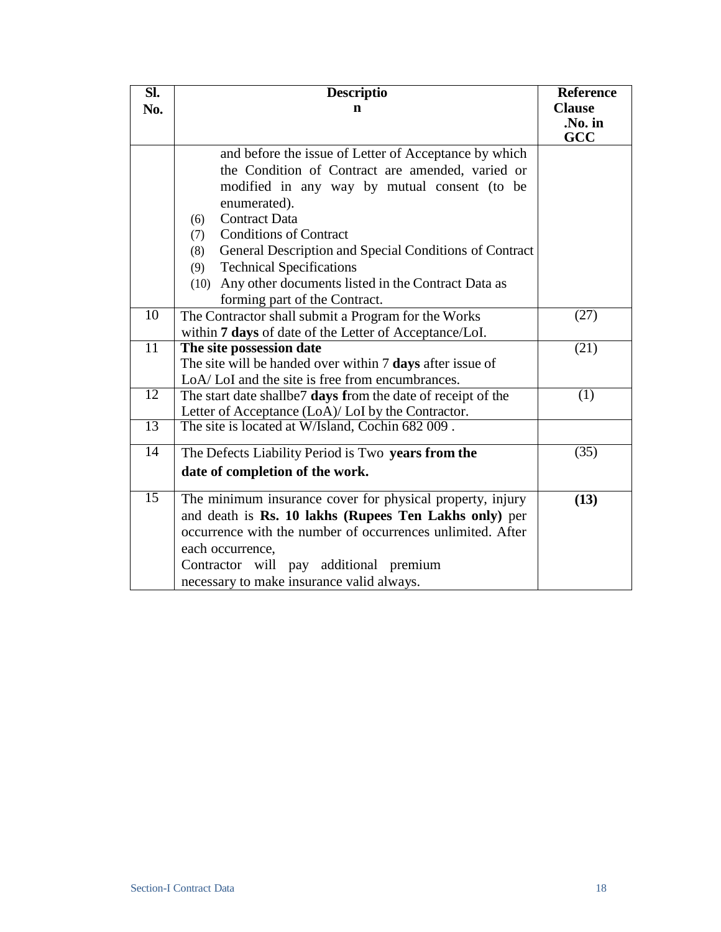| $\overline{\text{SL}}$ | <b>Descriptio</b>                                             | <b>Reference</b> |
|------------------------|---------------------------------------------------------------|------------------|
| No.                    | $\mathbf n$                                                   | <b>Clause</b>    |
|                        |                                                               | .No. in<br>GCC   |
|                        | and before the issue of Letter of Acceptance by which         |                  |
|                        | the Condition of Contract are amended, varied or              |                  |
|                        | modified in any way by mutual consent (to be                  |                  |
|                        | enumerated).                                                  |                  |
|                        | <b>Contract Data</b><br>(6)                                   |                  |
|                        | <b>Conditions of Contract</b><br>(7)                          |                  |
|                        | General Description and Special Conditions of Contract<br>(8) |                  |
|                        | <b>Technical Specifications</b><br>(9)                        |                  |
|                        | (10) Any other documents listed in the Contract Data as       |                  |
|                        | forming part of the Contract.                                 |                  |
| $\overline{10}$        | The Contractor shall submit a Program for the Works           | (27)             |
|                        | within 7 days of date of the Letter of Acceptance/LoI.        |                  |
| $\overline{11}$        | The site possession date                                      | (21)             |
|                        | The site will be handed over within 7 days after issue of     |                  |
|                        | LoA/LoI and the site is free from encumbrances.               |                  |
| 12                     | The start date shallbe7 days from the date of receipt of the  | (1)              |
|                        | Letter of Acceptance (LoA)/ LoI by the Contractor.            |                  |
| 13                     | The site is located at W/Island, Cochin 682 009.              |                  |
| 14                     | The Defects Liability Period is Two years from the            | (35)             |
|                        | date of completion of the work.                               |                  |
| 15                     | The minimum insurance cover for physical property, injury     | (13)             |
|                        | and death is Rs. 10 lakhs (Rupees Ten Lakhs only) per         |                  |
|                        | occurrence with the number of occurrences unlimited. After    |                  |
|                        | each occurrence,                                              |                  |
|                        | Contractor will pay additional premium                        |                  |
|                        | necessary to make insurance valid always.                     |                  |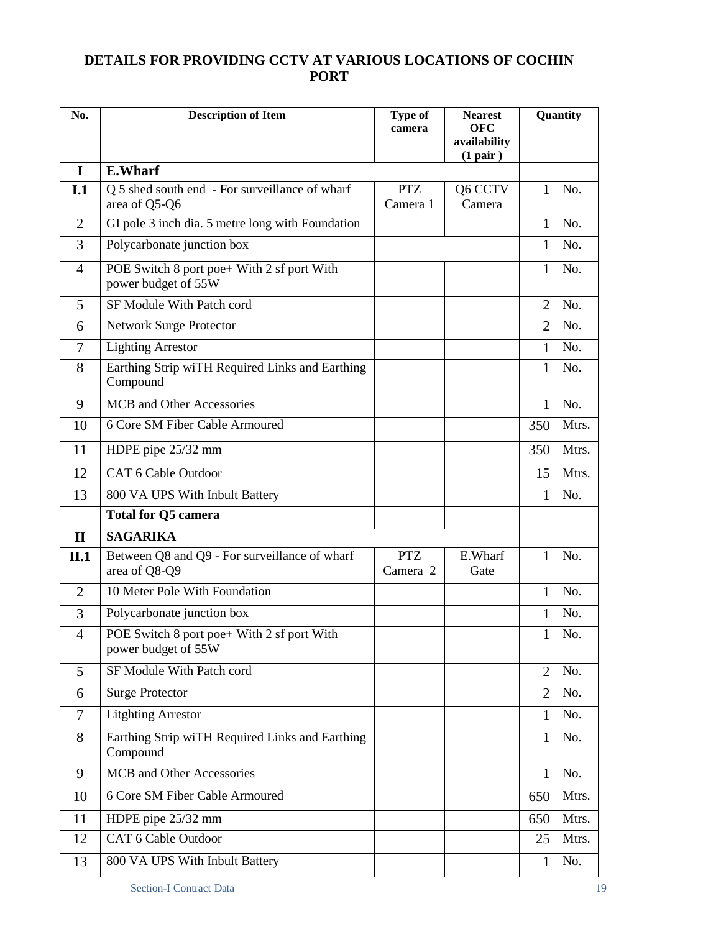# **DETAILS FOR PROVIDING CCTV AT VARIOUS LOCATIONS OF COCHIN PORT**

| No.            | <b>Description of Item</b>                                        | <b>Type of</b><br>camera | <b>Nearest</b><br><b>OFC</b><br>availability<br>(1 pair) |                | Quantity |  |
|----------------|-------------------------------------------------------------------|--------------------------|----------------------------------------------------------|----------------|----------|--|
| I              | <b>E.Wharf</b>                                                    |                          |                                                          |                |          |  |
| I.1            | Q 5 shed south end - For surveillance of wharf<br>area of Q5-Q6   | <b>PTZ</b><br>Camera 1   | Q6 CCTV<br>Camera                                        | 1              | No.      |  |
| $\overline{2}$ | GI pole 3 inch dia. 5 metre long with Foundation                  |                          |                                                          | 1              | No.      |  |
| 3              | Polycarbonate junction box                                        |                          |                                                          | 1              | No.      |  |
| $\overline{4}$ | POE Switch 8 port poe+ With 2 sf port With<br>power budget of 55W |                          |                                                          | 1              | No.      |  |
| 5              | SF Module With Patch cord                                         |                          |                                                          | $\overline{2}$ | No.      |  |
| 6              | Network Surge Protector                                           |                          |                                                          | $\overline{2}$ | No.      |  |
| 7              | <b>Lighting Arrestor</b>                                          |                          |                                                          | 1              | No.      |  |
| 8              | Earthing Strip wiTH Required Links and Earthing<br>Compound       |                          |                                                          | 1              | No.      |  |
| 9              | MCB and Other Accessories                                         |                          |                                                          | 1              | No.      |  |
| 10             | 6 Core SM Fiber Cable Armoured                                    |                          |                                                          | 350            | Mtrs.    |  |
| 11             | HDPE pipe 25/32 mm                                                |                          |                                                          | 350            | Mtrs.    |  |
| 12             | <b>CAT 6 Cable Outdoor</b>                                        |                          |                                                          | 15             | Mtrs.    |  |
| 13             | 800 VA UPS With Inbult Battery                                    |                          |                                                          | 1              | No.      |  |
|                | <b>Total for Q5 camera</b>                                        |                          |                                                          |                |          |  |
| $\mathbf{I}$   | <b>SAGARIKA</b>                                                   |                          |                                                          |                |          |  |
| II.1           | Between Q8 and Q9 - For surveillance of wharf<br>area of Q8-Q9    | <b>PTZ</b><br>Camera 2   | E.Wharf<br>Gate                                          | 1              | No.      |  |
| $\overline{2}$ | 10 Meter Pole With Foundation                                     |                          |                                                          | 1              | No.      |  |
| 3              | Polycarbonate junction box                                        |                          |                                                          | 1              | No.      |  |
| $\overline{4}$ | POE Switch 8 port poe+ With 2 sf port With<br>power budget of 55W |                          |                                                          | $\mathbf{1}$   | No.      |  |
| 5              | SF Module With Patch cord                                         |                          |                                                          | $\overline{2}$ | No.      |  |
| 6              | <b>Surge Protector</b>                                            |                          |                                                          | $\overline{2}$ | No.      |  |
| 7              | <b>Litghting Arrestor</b>                                         |                          |                                                          | 1              | No.      |  |
| 8              | Earthing Strip wiTH Required Links and Earthing<br>Compound       |                          |                                                          | $\mathbf{1}$   | No.      |  |
| 9              | MCB and Other Accessories                                         |                          |                                                          | $\mathbf{1}$   | No.      |  |
| 10             | 6 Core SM Fiber Cable Armoured                                    |                          |                                                          | 650            | Mtrs.    |  |
| 11             | HDPE pipe 25/32 mm                                                |                          |                                                          | 650            | Mtrs.    |  |
| 12             | <b>CAT 6 Cable Outdoor</b>                                        |                          |                                                          | 25             | Mtrs.    |  |
| 13             | 800 VA UPS With Inbult Battery                                    |                          |                                                          | 1              | No.      |  |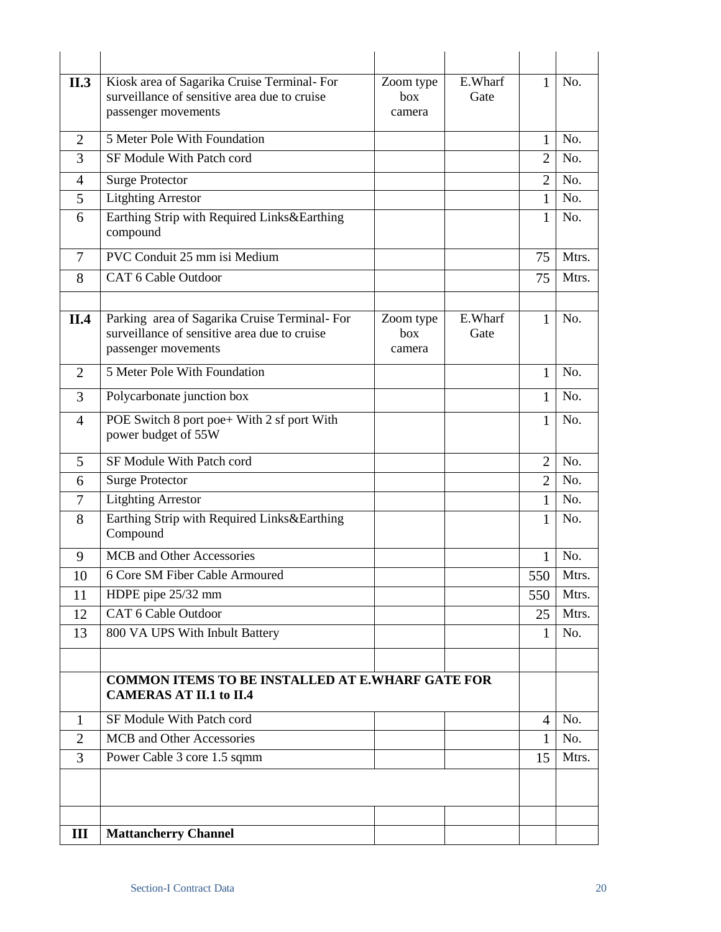| II.3           | Kiosk area of Sagarika Cruise Terminal-For<br>surveillance of sensitive area due to cruise<br>passenger movements   | Zoom type<br>box<br>camera | E.Wharf<br>Gate | 1              | No.         |
|----------------|---------------------------------------------------------------------------------------------------------------------|----------------------------|-----------------|----------------|-------------|
| $\overline{2}$ | 5 Meter Pole With Foundation                                                                                        |                            |                 | 1              | No.         |
| 3              | SF Module With Patch cord                                                                                           |                            |                 | $\overline{2}$ | No.         |
| 4              | <b>Surge Protector</b>                                                                                              |                            |                 | $\overline{2}$ | No.         |
| 5              | <b>Litghting Arrestor</b>                                                                                           |                            |                 | $\mathbf{1}$   | No.         |
| 6              | Earthing Strip with Required Links&Earthing<br>compound                                                             |                            |                 | 1              | No.         |
| 7              | PVC Conduit 25 mm isi Medium                                                                                        |                            |                 | 75             | Mtrs.       |
| 8              | CAT 6 Cable Outdoor                                                                                                 |                            |                 | 75             | Mtrs.       |
|                |                                                                                                                     |                            |                 |                |             |
| II.4           | Parking area of Sagarika Cruise Terminal-For<br>surveillance of sensitive area due to cruise<br>passenger movements | Zoom type<br>box<br>camera | E.Wharf<br>Gate | 1              | No.         |
| $\overline{2}$ | 5 Meter Pole With Foundation                                                                                        |                            |                 | $\mathbf{1}$   | No.         |
| 3              | Polycarbonate junction box                                                                                          |                            |                 | 1              | No.         |
| $\overline{4}$ | POE Switch 8 port poe+ With 2 sf port With<br>power budget of 55W                                                   |                            |                 | $\mathbf{1}$   | No.         |
| 5              | SF Module With Patch cord                                                                                           |                            |                 | $\overline{2}$ | No.         |
| 6              | <b>Surge Protector</b>                                                                                              |                            |                 | $\overline{2}$ | No.         |
| 7              | <b>Litghting Arrestor</b>                                                                                           |                            |                 | $\mathbf{1}$   | No.         |
| 8              | Earthing Strip with Required Links&Earthing<br>Compound                                                             |                            |                 | 1              | No.         |
| 9              | MCB and Other Accessories                                                                                           |                            |                 | 1              | No.         |
| 10             | 6 Core SM Fiber Cable Armoured                                                                                      |                            |                 | 550            | <b>Mtrs</b> |
| 11             | HDPE pipe 25/32 mm                                                                                                  |                            |                 | 550            | Mtrs.       |
| 12             | CAT 6 Cable Outdoor                                                                                                 |                            |                 | 25             | Mtrs.       |
| 13             | 800 VA UPS With Inbult Battery                                                                                      |                            |                 | 1              | No.         |
|                |                                                                                                                     |                            |                 |                |             |
|                | <b>COMMON ITEMS TO BE INSTALLED AT E.WHARF GATE FOR</b><br><b>CAMERAS AT II.1 to II.4</b>                           |                            |                 |                |             |
| 1              | SF Module With Patch cord                                                                                           |                            |                 | 4              | No.         |
| 2              | MCB and Other Accessories                                                                                           |                            |                 | 1              | No.         |
| 3              | Power Cable 3 core 1.5 sqmm                                                                                         |                            |                 | 15             | Mtrs.       |
|                |                                                                                                                     |                            |                 |                |             |
| III            | <b>Mattancherry Channel</b>                                                                                         |                            |                 |                |             |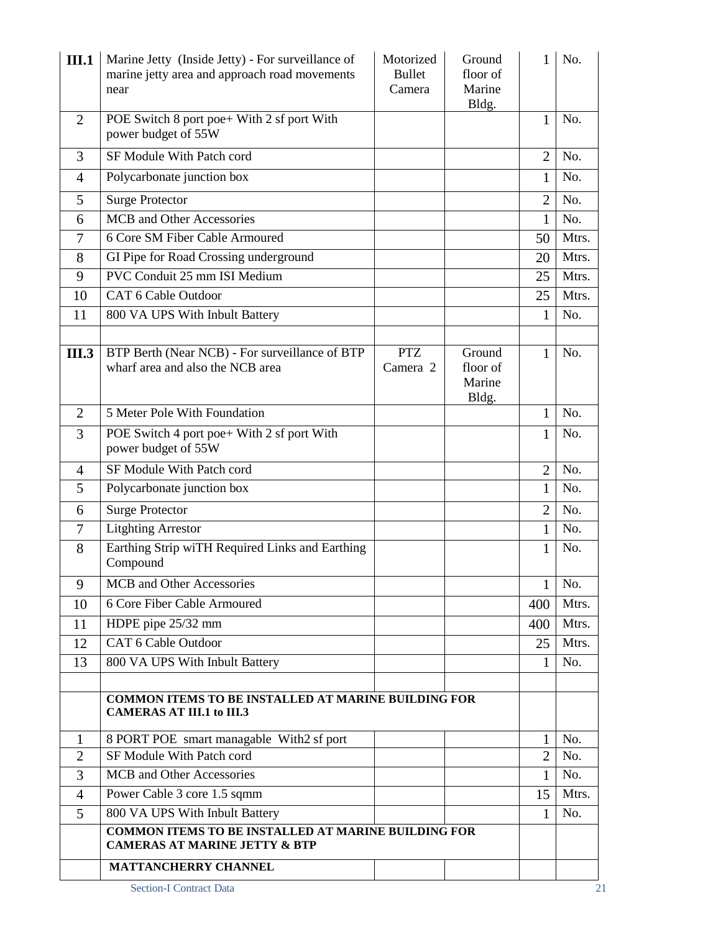| III.1          | Marine Jetty (Inside Jetty) - For surveillance of<br>marine jetty area and approach road movements<br>near | Motorized<br><b>Bullet</b><br>Camera | Ground<br>floor of<br>Marine<br>Bldg. | 1              | No.   |
|----------------|------------------------------------------------------------------------------------------------------------|--------------------------------------|---------------------------------------|----------------|-------|
| $\overline{2}$ | POE Switch 8 port poe+ With 2 sf port With<br>power budget of 55W                                          |                                      |                                       | 1              | No.   |
| 3              | SF Module With Patch cord                                                                                  |                                      |                                       | $\overline{2}$ | No.   |
| 4              | Polycarbonate junction box                                                                                 |                                      |                                       | 1              | No.   |
| 5              | <b>Surge Protector</b>                                                                                     |                                      |                                       | $\overline{2}$ | No.   |
| 6              | MCB and Other Accessories                                                                                  |                                      |                                       | 1              | No.   |
| 7              | 6 Core SM Fiber Cable Armoured                                                                             |                                      |                                       | 50             | Mtrs. |
| 8              | GI Pipe for Road Crossing underground                                                                      |                                      |                                       | 20             | Mtrs. |
| 9              | PVC Conduit 25 mm ISI Medium                                                                               |                                      |                                       | 25             | Mtrs. |
| 10             | CAT 6 Cable Outdoor                                                                                        |                                      |                                       | 25             | Mtrs. |
| 11             | 800 VA UPS With Inbult Battery                                                                             |                                      |                                       | 1              | No.   |
|                |                                                                                                            |                                      |                                       |                |       |
| <b>III.3</b>   | BTP Berth (Near NCB) - For surveillance of BTP<br>wharf area and also the NCB area                         | <b>PTZ</b><br>Camera 2               | Ground<br>floor of<br>Marine<br>Bldg. | $\mathbf{1}$   | No.   |
| $\overline{2}$ | 5 Meter Pole With Foundation                                                                               |                                      |                                       | 1              | No.   |
| 3              | POE Switch 4 port poe+ With 2 sf port With<br>power budget of 55W                                          |                                      |                                       | 1              | No.   |
| $\overline{4}$ | SF Module With Patch cord                                                                                  |                                      |                                       | $\overline{2}$ | No.   |
| 5              | Polycarbonate junction box                                                                                 |                                      |                                       | 1              | No.   |
| 6              | <b>Surge Protector</b>                                                                                     |                                      |                                       | $\overline{2}$ | No.   |
| $\tau$         | <b>Litghting Arrestor</b>                                                                                  |                                      |                                       | $\mathbf{1}$   | No.   |
| 8              | Earthing Strip wiTH Required Links and Earthing<br>Compound                                                |                                      |                                       | 1              | No.   |
| 9              | <b>MCB</b> and Other Accessories                                                                           |                                      |                                       | 1              | No.   |
| 10             | 6 Core Fiber Cable Armoured                                                                                |                                      |                                       | 400            | Mtrs. |
| 11             | HDPE pipe 25/32 mm                                                                                         |                                      |                                       | 400            | Mtrs. |
| 12             | CAT 6 Cable Outdoor                                                                                        |                                      |                                       | 25             | Mtrs. |
| 13             | 800 VA UPS With Inbult Battery                                                                             |                                      |                                       | 1              | No.   |
|                |                                                                                                            |                                      |                                       |                |       |
|                | <b>COMMON ITEMS TO BE INSTALLED AT MARINE BUILDING FOR</b><br><b>CAMERAS AT III.1 to III.3</b>             |                                      |                                       |                |       |
| 1              | 8 PORT POE smart managable With2 sf port                                                                   |                                      |                                       | 1              | No.   |
| $\overline{2}$ | SF Module With Patch cord                                                                                  |                                      |                                       | $\overline{2}$ | No.   |
| 3              | MCB and Other Accessories                                                                                  |                                      |                                       | 1              | No.   |
| 4              | Power Cable 3 core 1.5 sqmm                                                                                |                                      |                                       | 15             | Mtrs. |
| 5              | 800 VA UPS With Inbult Battery                                                                             |                                      |                                       | 1              | No.   |
|                | COMMON ITEMS TO BE INSTALLED AT MARINE BUILDING FOR<br><b>CAMERAS AT MARINE JETTY &amp; BTP</b>            |                                      |                                       |                |       |
|                | <b>MATTANCHERRY CHANNEL</b>                                                                                |                                      |                                       |                |       |
|                | <b>Section-I Contract Data</b>                                                                             |                                      |                                       |                | 21    |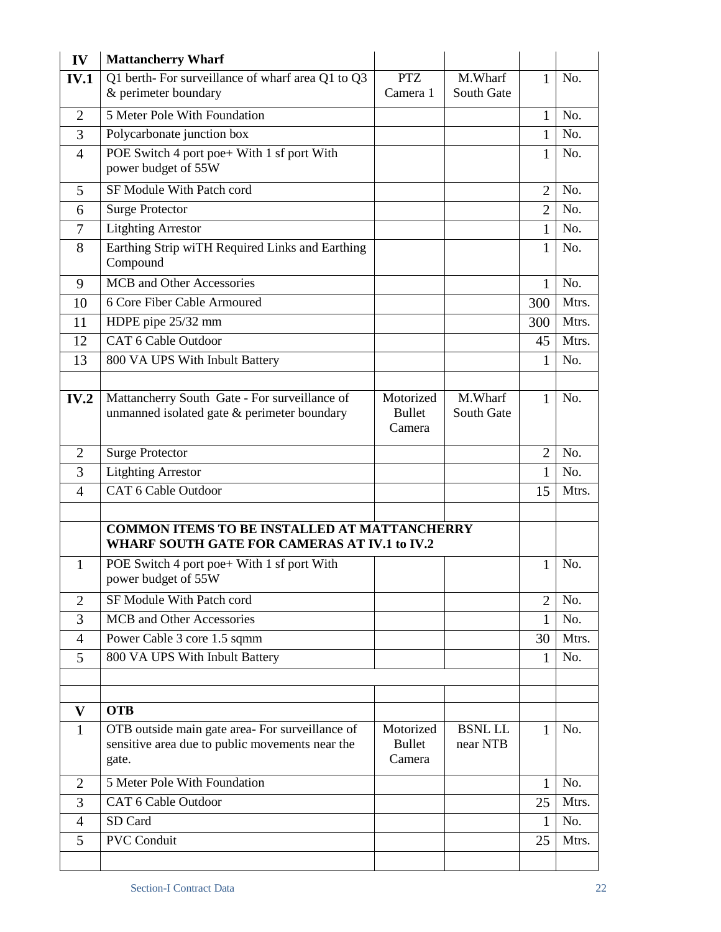| IV             | <b>Mattancherry Wharf</b>                                                                                  |                                      |                            |                |       |
|----------------|------------------------------------------------------------------------------------------------------------|--------------------------------------|----------------------------|----------------|-------|
| <b>IV.1</b>    | Q1 berth-For surveillance of wharf area Q1 to Q3                                                           | <b>PTZ</b>                           | M.Wharf                    | 1              | No.   |
|                | & perimeter boundary                                                                                       | Camera 1                             | South Gate                 |                |       |
| 2              | 5 Meter Pole With Foundation                                                                               |                                      |                            | 1              | No.   |
| 3              | Polycarbonate junction box                                                                                 |                                      |                            | 1              | No.   |
| $\overline{4}$ | POE Switch 4 port poe+ With 1 sf port With<br>power budget of 55W                                          |                                      |                            | 1              | No.   |
| 5              | SF Module With Patch cord                                                                                  |                                      |                            | $\overline{2}$ | No.   |
| 6              | <b>Surge Protector</b>                                                                                     |                                      |                            | $\overline{2}$ | No.   |
| 7              | <b>Litghting Arrestor</b>                                                                                  |                                      |                            | 1              | No.   |
| 8              | Earthing Strip wiTH Required Links and Earthing<br>Compound                                                |                                      |                            | 1              | No.   |
| 9              | <b>MCB</b> and Other Accessories                                                                           |                                      |                            | 1              | No.   |
| 10             | 6 Core Fiber Cable Armoured                                                                                |                                      |                            | 300            | Mtrs. |
| 11             | HDPE pipe 25/32 mm                                                                                         |                                      |                            | 300            | Mtrs. |
| 12             | <b>CAT 6 Cable Outdoor</b>                                                                                 |                                      |                            | 45             | Mtrs. |
| 13             | 800 VA UPS With Inbult Battery                                                                             |                                      |                            | 1              | No.   |
|                |                                                                                                            |                                      |                            |                |       |
| IV.2           | Mattancherry South Gate - For surveillance of<br>unmanned isolated gate & perimeter boundary               | Motorized<br><b>Bullet</b><br>Camera | M.Wharf<br>South Gate      | 1              | No.   |
| $\overline{2}$ | <b>Surge Protector</b>                                                                                     |                                      |                            | $\overline{2}$ | No.   |
| 3              | <b>Litghting Arrestor</b>                                                                                  |                                      |                            | 1              | No.   |
| $\overline{4}$ | CAT 6 Cable Outdoor                                                                                        |                                      |                            | 15             | Mtrs. |
|                |                                                                                                            |                                      |                            |                |       |
|                | <b>COMMON ITEMS TO BE INSTALLED AT MATTANCHERRY</b><br>WHARF SOUTH GATE FOR CAMERAS AT IV.1 to IV.2        |                                      |                            |                |       |
| 1              | POE Switch 4 port poe+ With 1 sf port With<br>power budget of 55W                                          |                                      |                            | 1              | No.   |
| $\overline{2}$ | SF Module With Patch cord                                                                                  |                                      |                            | $\overline{2}$ | No.   |
| 3              | MCB and Other Accessories                                                                                  |                                      |                            | $\mathbf{1}$   | No.   |
| $\overline{4}$ | Power Cable 3 core 1.5 sqmm                                                                                |                                      |                            | 30             | Mtrs. |
| 5              | 800 VA UPS With Inbult Battery                                                                             |                                      |                            | 1              | No.   |
|                |                                                                                                            |                                      |                            |                |       |
|                |                                                                                                            |                                      |                            |                |       |
| V              | <b>OTB</b>                                                                                                 |                                      |                            |                |       |
| 1              | OTB outside main gate area-For surveillance of<br>sensitive area due to public movements near the<br>gate. | Motorized<br><b>Bullet</b><br>Camera | <b>BSNL LL</b><br>near NTB | 1              | No.   |
| $\overline{2}$ | 5 Meter Pole With Foundation                                                                               |                                      |                            | 1              | No.   |
| 3              | CAT 6 Cable Outdoor                                                                                        |                                      |                            | 25             | Mtrs. |
| $\overline{4}$ | SD Card                                                                                                    |                                      |                            | 1              | No.   |
| 5              | <b>PVC Conduit</b>                                                                                         |                                      |                            | 25             | Mtrs. |
|                |                                                                                                            |                                      |                            |                |       |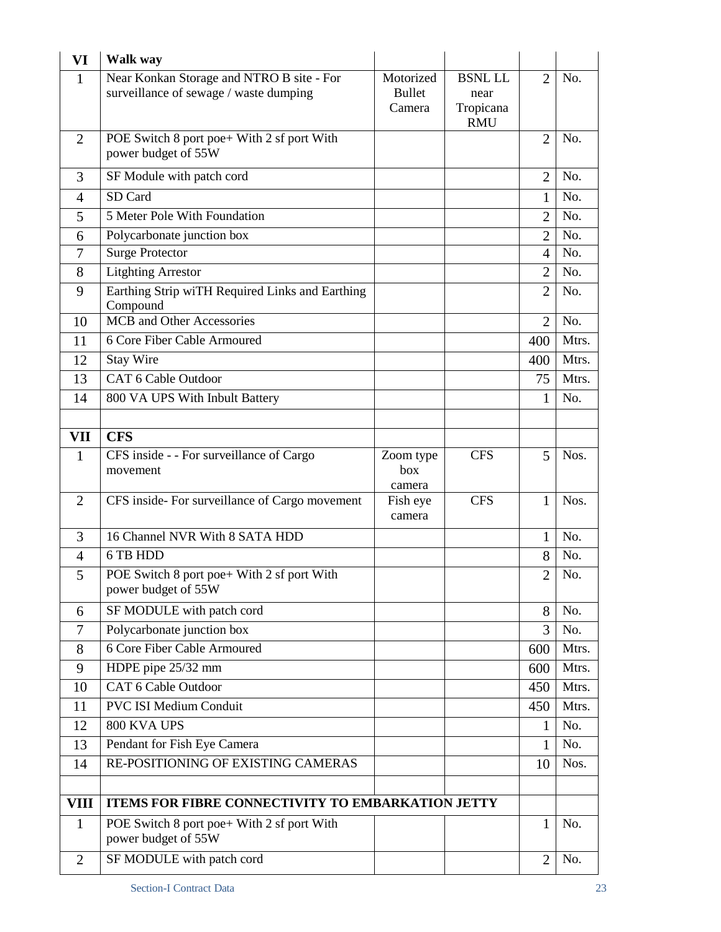| VI             | Walk way                                                                            |                                      |                                     |                |       |
|----------------|-------------------------------------------------------------------------------------|--------------------------------------|-------------------------------------|----------------|-------|
| 1              | Near Konkan Storage and NTRO B site - For<br>surveillance of sewage / waste dumping | Motorized<br><b>Bullet</b><br>Camera | <b>BSNL LL</b><br>near<br>Tropicana | $\overline{2}$ | No.   |
|                |                                                                                     |                                      | <b>RMU</b>                          |                |       |
| $\overline{2}$ | POE Switch 8 port poe+ With 2 sf port With<br>power budget of 55W                   |                                      |                                     | $\overline{2}$ | No.   |
| 3              | SF Module with patch cord                                                           |                                      |                                     | $\overline{2}$ | No.   |
| $\overline{4}$ | SD Card                                                                             |                                      |                                     | 1              | No.   |
| 5              | 5 Meter Pole With Foundation                                                        |                                      |                                     | $\overline{2}$ | No.   |
| 6              | Polycarbonate junction box                                                          |                                      |                                     | $\overline{2}$ | No.   |
| 7              | <b>Surge Protector</b>                                                              |                                      |                                     | 4              | No.   |
| 8              | <b>Litghting Arrestor</b>                                                           |                                      |                                     | $\overline{2}$ | No.   |
| 9              | Earthing Strip wiTH Required Links and Earthing<br>Compound                         |                                      |                                     | $\overline{2}$ | No.   |
| 10             | MCB and Other Accessories                                                           |                                      |                                     | $\overline{2}$ | No.   |
| 11             | 6 Core Fiber Cable Armoured                                                         |                                      |                                     | 400            | Mtrs. |
| 12             | <b>Stay Wire</b>                                                                    |                                      |                                     | 400            | Mtrs. |
| 13             | CAT 6 Cable Outdoor                                                                 |                                      |                                     | 75             | Mtrs. |
| 14             | 800 VA UPS With Inbult Battery                                                      |                                      |                                     | 1              | No.   |
|                |                                                                                     |                                      |                                     |                |       |
| VII            | <b>CFS</b>                                                                          |                                      |                                     |                |       |
| $\mathbf{1}$   | CFS inside - - For surveillance of Cargo<br>movement                                | Zoom type<br>box                     | <b>CFS</b>                          | 5              | Nos.  |
| $\overline{2}$ | CFS inside-For surveillance of Cargo movement                                       | camera<br>Fish eye<br>camera         | <b>CFS</b>                          | 1              | Nos.  |
| 3              | 16 Channel NVR With 8 SATA HDD                                                      |                                      |                                     | 1              | No.   |
| 4              | 6 TB HDD                                                                            |                                      |                                     | 8              | No.   |
| 5              | POE Switch 8 port poe + With 2 sf port With<br>power budget of 55W                  |                                      |                                     | $\overline{2}$ | No.   |
| 6              | SF MODULE with patch cord                                                           |                                      |                                     | 8              | No.   |
| 7              | Polycarbonate junction box                                                          |                                      |                                     | 3              | No.   |
| 8              | 6 Core Fiber Cable Armoured                                                         |                                      |                                     | 600            | Mtrs. |
| 9              | HDPE pipe 25/32 mm                                                                  |                                      |                                     | 600            | Mtrs. |
| 10             | CAT 6 Cable Outdoor                                                                 |                                      |                                     | 450            | Mtrs. |
| 11             | <b>PVC ISI Medium Conduit</b>                                                       |                                      |                                     | 450            | Mtrs. |
| 12             | 800 KVA UPS                                                                         |                                      |                                     | 1              | No.   |
| 13             | Pendant for Fish Eye Camera                                                         |                                      |                                     | 1              | No.   |
| 14             | RE-POSITIONING OF EXISTING CAMERAS                                                  |                                      |                                     | 10             | Nos.  |
|                |                                                                                     |                                      |                                     |                |       |
| VIII           | ITEMS FOR FIBRE CONNECTIVITY TO EMBARKATION JETTY                                   |                                      |                                     |                |       |
| $\mathbf{1}$   | POE Switch 8 port poe+ With 2 sf port With<br>power budget of 55W                   |                                      |                                     | $\mathbf{1}$   | No.   |
| $\overline{2}$ | SF MODULE with patch cord                                                           |                                      |                                     | $\overline{2}$ | No.   |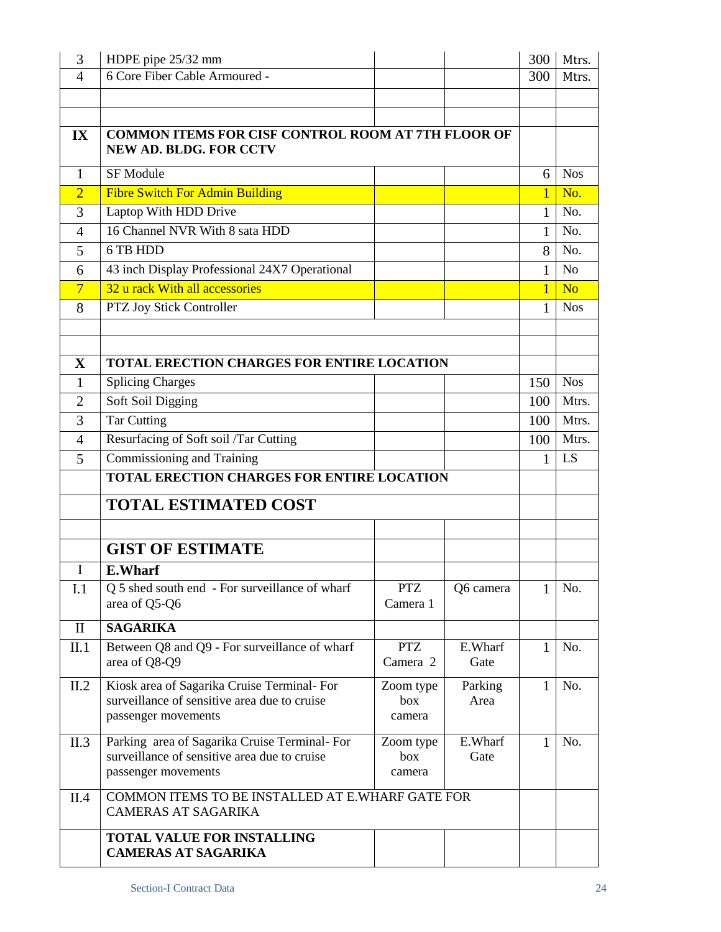| 3                          | HDPE pipe 25/32 mm                                                                                                  |                            |                 | 300            | Mtrs.          |
|----------------------------|---------------------------------------------------------------------------------------------------------------------|----------------------------|-----------------|----------------|----------------|
| $\overline{4}$             | 6 Core Fiber Cable Armoured -                                                                                       |                            |                 | 300            | Mtrs.          |
|                            |                                                                                                                     |                            |                 |                |                |
|                            |                                                                                                                     |                            |                 |                |                |
| $\mathbf{IX}$              | <b>COMMON ITEMS FOR CISF CONTROL ROOM AT 7TH FLOOR OF</b><br><b>NEW AD. BLDG. FOR CCTV</b>                          |                            |                 |                |                |
| $\mathbf{1}$               | <b>SF Module</b>                                                                                                    |                            |                 | 6              | <b>Nos</b>     |
| $\overline{2}$             | <b>Fibre Switch For Admin Building</b>                                                                              |                            |                 | $\mathbf{1}$   | No.            |
| 3                          | Laptop With HDD Drive                                                                                               |                            |                 | 1              | No.            |
| 4                          | 16 Channel NVR With 8 sata HDD                                                                                      |                            |                 | 1              | No.            |
| 5                          | 6 TB HDD                                                                                                            |                            |                 | 8              | No.            |
| 6                          | 43 inch Display Professional 24X7 Operational                                                                       |                            |                 | 1              | N <sub>o</sub> |
| 7                          | 32 u rack With all accessories                                                                                      |                            |                 | $\overline{1}$ | N <sub>o</sub> |
| 8                          | PTZ Joy Stick Controller                                                                                            |                            |                 | 1              | <b>Nos</b>     |
|                            |                                                                                                                     |                            |                 |                |                |
|                            |                                                                                                                     |                            |                 |                |                |
| $\mathbf X$                | <b>TOTAL ERECTION CHARGES FOR ENTIRE LOCATION</b>                                                                   |                            |                 |                |                |
| 1                          | <b>Splicing Charges</b>                                                                                             |                            |                 | 150            | <b>Nos</b>     |
| $\overline{2}$             | Soft Soil Digging                                                                                                   |                            |                 | 100            | Mtrs.          |
| 3                          | <b>Tar Cutting</b>                                                                                                  |                            |                 | 100            | Mtrs.          |
| 4                          | Resurfacing of Soft soil /Tar Cutting                                                                               |                            |                 | 100            | Mtrs.          |
| 5                          | Commissioning and Training                                                                                          |                            |                 | 1              | LS             |
|                            | <b>TOTAL ERECTION CHARGES FOR ENTIRE LOCATION</b>                                                                   |                            |                 |                |                |
|                            | <b>TOTAL ESTIMATED COST</b>                                                                                         |                            |                 |                |                |
|                            |                                                                                                                     |                            |                 |                |                |
|                            |                                                                                                                     |                            |                 |                |                |
|                            | <b>GIST OF ESTIMATE</b>                                                                                             |                            |                 |                |                |
| $\bf{I}$                   | <b>E.Wharf</b>                                                                                                      |                            |                 |                |                |
| I.1                        | Q 5 shed south end - For surveillance of wharf<br>area of Q5-Q6                                                     | <b>PTZ</b><br>Camera 1     | Q6 camera       | 1              | No.            |
| $\mathop{\rm II}\nolimits$ | <b>SAGARIKA</b>                                                                                                     |                            |                 |                |                |
| II.1                       | Between Q8 and Q9 - For surveillance of wharf<br>area of Q8-Q9                                                      | <b>PTZ</b><br>Camera 2     | E.Wharf<br>Gate | 1              | No.            |
| II.2                       | Kiosk area of Sagarika Cruise Terminal-For<br>surveillance of sensitive area due to cruise<br>passenger movements   | Zoom type<br>box<br>camera | Parking<br>Area | $\mathbf{1}$   | No.            |
| II.3                       | Parking area of Sagarika Cruise Terminal-For<br>surveillance of sensitive area due to cruise<br>passenger movements | Zoom type<br>box<br>camera | E.Wharf<br>Gate | 1              | No.            |
| II.4                       | COMMON ITEMS TO BE INSTALLED AT E.WHARF GATE FOR<br><b>CAMERAS AT SAGARIKA</b>                                      |                            |                 |                |                |
|                            | <b>TOTAL VALUE FOR INSTALLING</b><br><b>CAMERAS AT SAGARIKA</b>                                                     |                            |                 |                |                |